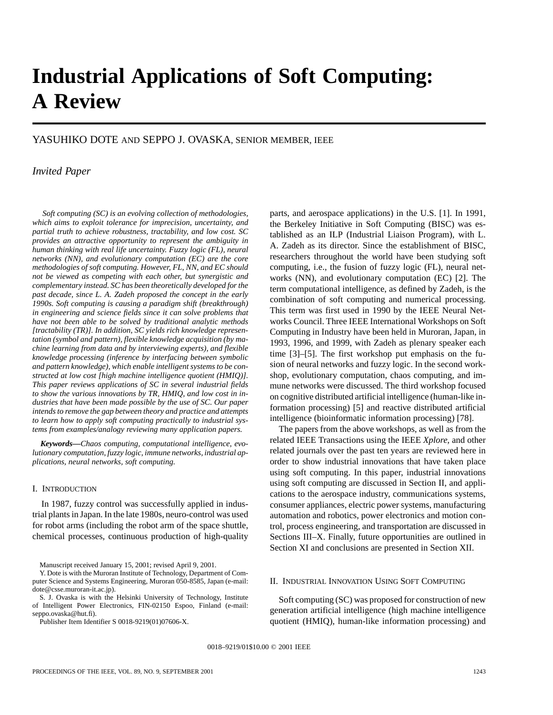# **Industrial Applications of Soft Computing: A Review**

# YASUHIKO DOTE AND SEPPO J. OVASKA, SENIOR MEMBER, IEEE

## *Invited Paper*

*Soft computing (SC) is an evolving collection of methodologies, which aims to exploit tolerance for imprecision, uncertainty, and partial truth to achieve robustness, tractability, and low cost. SC provides an attractive opportunity to represent the ambiguity in human thinking with real life uncertainty. Fuzzy logic (FL), neural networks (NN), and evolutionary computation (EC) are the core methodologies of soft computing. However, FL, NN, and EC should not be viewed as competing with each other, but synergistic and complementary instead. SC has been theoretically developed for the past decade, since L. A. Zadeh proposed the concept in the early 1990s. Soft computing is causing a paradigm shift (breakthrough) in engineering and science fields since it can solve problems that have not been able to be solved by traditional analytic methods [tractability (TR)]. In addition, SC yields rich knowledge representation (symbol and pattern), flexible knowledge acquisition (by machine learning from data and by interviewing experts), and flexible knowledge processing (inference by interfacing between symbolic and pattern knowledge), which enable intelligent systems to be constructed at low cost [high machine intelligence quotient (HMIQ)]. This paper reviews applications of SC in several industrial fields to show the various innovations by TR, HMIQ, and low cost in industries that have been made possible by the use of SC. Our paper intends to remove the gap between theory and practice and attempts to learn how to apply soft computing practically to industrial systems from examples/analogy reviewing many application papers.*

*Keywords—Chaos computing, computational intelligence, evolutionary computation, fuzzy logic, immune networks, industrial applications, neural networks, soft computing.*

## I. INTRODUCTION

In 1987, fuzzy control was successfully applied in industrial plants in Japan. In the late 1980s, neuro-control was used for robot arms (including the robot arm of the space shuttle, chemical processes, continuous production of high-quality

Manuscript received January 15, 2001; revised April 9, 2001.

parts, and aerospace applications) in the U.S. [1]. In 1991, the Berkeley Initiative in Soft Computing (BISC) was established as an ILP (Industrial Liaison Program), with L. A. Zadeh as its director. Since the establishment of BISC, researchers throughout the world have been studying soft computing, i.e., the fusion of fuzzy logic (FL), neural networks (NN), and evolutionary computation (EC) [2]. The term computational intelligence, as defined by Zadeh, is the combination of soft computing and numerical processing. This term was first used in 1990 by the IEEE Neural Networks Council. Three IEEE International Workshops on Soft Computing in Industry have been held in Muroran, Japan, in 1993, 1996, and 1999, with Zadeh as plenary speaker each time [3]–[5]. The first workshop put emphasis on the fusion of neural networks and fuzzy logic. In the second workshop, evolutionary computation, chaos computing, and immune networks were discussed. The third workshop focused on cognitive distributed artificial intelligence (human-like information processing) [5] and reactive distributed artificial intelligence (bioinformatic information processing) [78].

The papers from the above workshops, as well as from the related IEEE Transactions using the IEEE *Xplore,* and other related journals over the past ten years are reviewed here in order to show industrial innovations that have taken place using soft computing. In this paper, industrial innovations using soft computing are discussed in Section II, and applications to the aerospace industry, communications systems, consumer appliances, electric power systems, manufacturing automation and robotics, power electronics and motion control, process engineering, and transportation are discussed in Sections III–X. Finally, future opportunities are outlined in Section XI and conclusions are presented in Section XII.

## II. INDUSTRIAL INNOVATION USING SOFT COMPUTING

Soft computing (SC) was proposed for construction of new generation artificial intelligence (high machine intelligence quotient (HMIQ), human-like information processing) and

Y. Dote is with the Muroran Institute of Technology, Department of Computer Science and Systems Engineering, Muroran 050-8585, Japan (e-mail: dote@csse.muroran-it.ac.jp).

S. J. Ovaska is with the Helsinki University of Technology, Institute of Intelligent Power Electronics, FIN-02150 Espoo, Finland (e-mail: seppo.ovaska@hut.fi).

Publisher Item Identifier S 0018-9219(01)07606-X.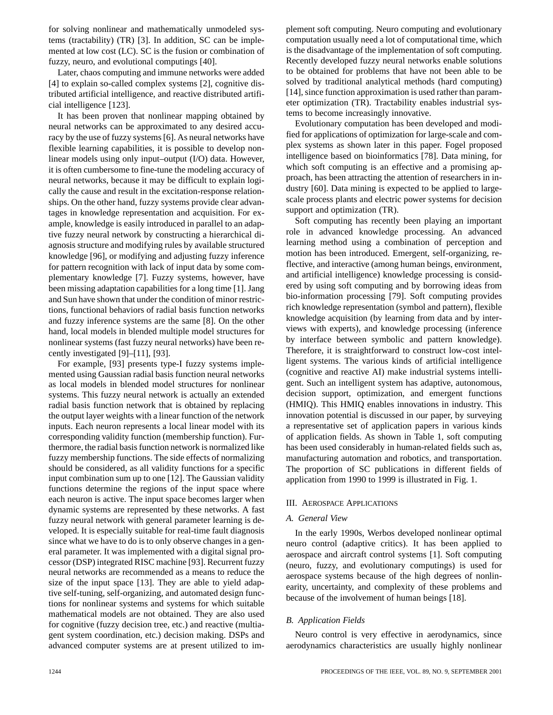for solving nonlinear and mathematically unmodeled systems (tractability) (TR) [3]. In addition, SC can be implemented at low cost (LC). SC is the fusion or combination of fuzzy, neuro, and evolutional computings [40].

Later, chaos computing and immune networks were added [4] to explain so-called complex systems [2], cognitive distributed artificial intelligence, and reactive distributed artificial intelligence [123].

It has been proven that nonlinear mapping obtained by neural networks can be approximated to any desired accuracy by the use of fuzzy systems [6]. As neural networks have flexible learning capabilities, it is possible to develop nonlinear models using only input–output (I/O) data. However, it is often cumbersome to fine-tune the modeling accuracy of neural networks, because it may be difficult to explain logically the cause and result in the excitation-response relationships. On the other hand, fuzzy systems provide clear advantages in knowledge representation and acquisition. For example, knowledge is easily introduced in parallel to an adaptive fuzzy neural network by constructing a hierarchical diagnosis structure and modifying rules by available structured knowledge [96], or modifying and adjusting fuzzy inference for pattern recognition with lack of input data by some complementary knowledge [7]. Fuzzy systems, however, have been missing adaptation capabilities for a long time [1]. Jang and Sun have shown that under the condition of minor restrictions, functional behaviors of radial basis function networks and fuzzy inference systems are the same [8]. On the other hand, local models in blended multiple model structures for nonlinear systems (fast fuzzy neural networks) have been recently investigated [9]–[11], [93].

For example, [93] presents type-I fuzzy systems implemented using Gaussian radial basis function neural networks as local models in blended model structures for nonlinear systems. This fuzzy neural network is actually an extended radial basis function network that is obtained by replacing the output layer weights with a linear function of the network inputs. Each neuron represents a local linear model with its corresponding validity function (membership function). Furthermore, the radial basis function network is normalized like fuzzy membership functions. The side effects of normalizing should be considered, as all validity functions for a specific input combination sum up to one [12]. The Gaussian validity functions determine the regions of the input space where each neuron is active. The input space becomes larger when dynamic systems are represented by these networks. A fast fuzzy neural network with general parameter learning is developed. It is especially suitable for real-time fault diagnosis since what we have to do is to only observe changes in a general parameter. It was implemented with a digital signal processor (DSP) integrated RISC machine [93]. Recurrent fuzzy neural networks are recommended as a means to reduce the size of the input space [13]. They are able to yield adaptive self-tuning, self-organizing, and automated design functions for nonlinear systems and systems for which suitable mathematical models are not obtained. They are also used for cognitive (fuzzy decision tree, etc.) and reactive (multiagent system coordination, etc.) decision making. DSPs and advanced computer systems are at present utilized to implement soft computing. Neuro computing and evolutionary computation usually need a lot of computational time, which is the disadvantage of the implementation of soft computing. Recently developed fuzzy neural networks enable solutions to be obtained for problems that have not been able to be solved by traditional analytical methods (hard computing) [14], since function approximation is used rather than parameter optimization (TR). Tractability enables industrial systems to become increasingly innovative.

Evolutionary computation has been developed and modified for applications of optimization for large-scale and complex systems as shown later in this paper. Fogel proposed intelligence based on bioinformatics [78]. Data mining, for which soft computing is an effective and a promising approach, has been attracting the attention of researchers in industry [60]. Data mining is expected to be applied to largescale process plants and electric power systems for decision support and optimization (TR).

Soft computing has recently been playing an important role in advanced knowledge processing. An advanced learning method using a combination of perception and motion has been introduced. Emergent, self-organizing, reflective, and interactive (among human beings, environment, and artificial intelligence) knowledge processing is considered by using soft computing and by borrowing ideas from bio-information processing [79]. Soft computing provides rich knowledge representation (symbol and pattern), flexible knowledge acquisition (by learning from data and by interviews with experts), and knowledge processing (inference by interface between symbolic and pattern knowledge). Therefore, it is straightforward to construct low-cost intelligent systems. The various kinds of artificial intelligence (cognitive and reactive AI) make industrial systems intelligent. Such an intelligent system has adaptive, autonomous, decision support, optimization, and emergent functions (HMIQ). This HMIQ enables innovations in industry. This innovation potential is discussed in our paper, by surveying a representative set of application papers in various kinds of application fields. As shown in Table 1, soft computing has been used considerably in human-related fields such as, manufacturing automation and robotics, and transportation. The proportion of SC publications in different fields of application from 1990 to 1999 is illustrated in Fig. 1.

# III. AEROSPACE APPLICATIONS

# *A. General View*

In the early 1990s, Werbos developed nonlinear optimal neuro control (adaptive critics). It has been applied to aerospace and aircraft control systems [1]. Soft computing (neuro, fuzzy, and evolutionary computings) is used for aerospace systems because of the high degrees of nonlinearity, uncertainty, and complexity of these problems and because of the involvement of human beings [18].

# *B. Application Fields*

Neuro control is very effective in aerodynamics, since aerodynamics characteristics are usually highly nonlinear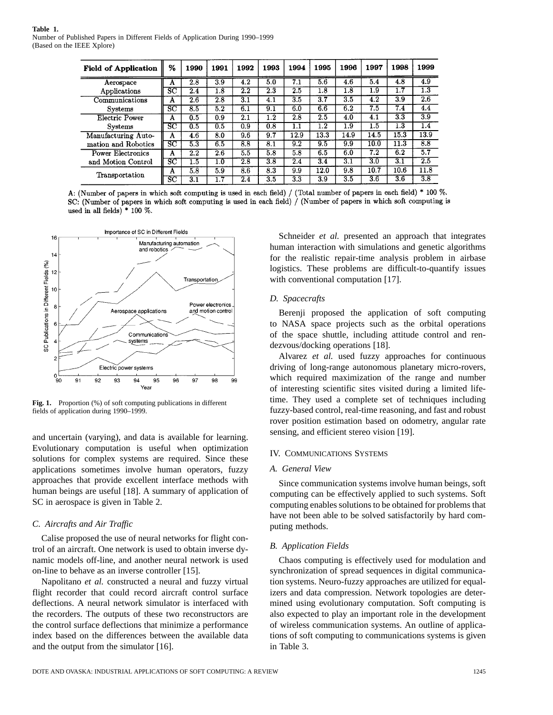| <b>Field of Application</b> | %  | 1990    | 1991             | 1992             | 1993 | 1994                        | 1995    | 1996             | 1997 | 1998 | 1999             |
|-----------------------------|----|---------|------------------|------------------|------|-----------------------------|---------|------------------|------|------|------------------|
| Aerospace                   | A  | 2.8     | 3.9              | 4.2              | 5.0  | 7.1                         | 5.6     | 4.6              | 5.4  | 4.8  | 4.9              |
| Applications                | SC | $2.4\,$ | $\overline{1.8}$ | 2.2              | 2.3  | 2.5                         | $1.8\,$ | $\overline{1.8}$ | 1.9  | 1.7  | 1.3              |
| Communications              | А  | 2.6     | 2.8              | 3.1              | 4.1  | 3.5                         | 3.7     | 3.5              | 4.2  | 3.9  | 2.6              |
| <b>Systems</b>              | SС | 8.5     | 5.2              | 6.1              | 9.1  | 6.0                         | 6.6     | 6.2              | 7.5  | 7.4  | 4.4              |
| Electric Power              | А  | 0.5     | 0.9              | 2.1              | 1.2  | 2.8                         | $2.5\,$ | 4.0              | 4.1  | 3.3  | 3.9              |
| <b>Systems</b>              | sс | 0.5     | 0.5              | 0.9              | 0.8  | 1.1                         | $1.2\,$ | 1.9              | 1.5  | 1.3  | 1.4              |
| Manufacturing Auto-         | A  | 4.6     | 8.0              | 9.6              | 9.7  | 12.9                        | 13.3    | 14.9             | 14.5 | 15.3 | 13.9             |
| mation and Robotics         | SC | 5.3     | 6.5              | 8.8              | 8.1  | 9.2                         | 9.5     | 9.9              | 10.0 | 11.3 | 8.8              |
| <b>Power Electronics</b>    | A  | $2.2\,$ | $2.6\,$          | 5.5              | 5.8  | 5.8                         | 6.5     | 6.0              | 7.2  | 6.2  | 5.7              |
| and Motion Control          | SC | 1.5     | 1.0              | $2.\overline{8}$ | 3.8  | $2.4\,$                     | 3.4     | 3.1              | 3.0  | 3.1  | 2.5              |
| Transportation              | A  | 5.8     | 5.9              | 8.6              | 8.3  | 9.9                         | 12.0    | 9.8              | 10.7 | 10.6 | 11.8             |
|                             | ЗC | 3.1     | 1.7              | 2.4              | 3.5  | $\overline{3}.\overline{3}$ | 3.9     | 3.5              | 3.6  | 3.6  | $\overline{3.8}$ |

A: (Number of papers in which soft computing is used in each field) / (Total number of papers in each field) \* 100 %. SC: (Number of papers in which soft computing is used in each field) / (Number of papers in which soft computing is used in all fields)  $*$  100 %.



**Fig. 1.** Proportion (%) of soft computing publications in different fields of application during 1990–1999.

and uncertain (varying), and data is available for learning. Evolutionary computation is useful when optimization solutions for complex systems are required. Since these applications sometimes involve human operators, fuzzy approaches that provide excellent interface methods with human beings are useful [18]. A summary of application of SC in aerospace is given in Table 2.

# *C. Aircrafts and Air Traffic*

Calise proposed the use of neural networks for flight control of an aircraft. One network is used to obtain inverse dynamic models off-line, and another neural network is used on-line to behave as an inverse controller [15].

Napolitano *et al.* constructed a neural and fuzzy virtual flight recorder that could record aircraft control surface deflections. A neural network simulator is interfaced with the recorders. The outputs of these two reconstructors are the control surface deflections that minimize a performance index based on the differences between the available data and the output from the simulator [16].

Schneider *et al.* presented an approach that integrates human interaction with simulations and genetic algorithms for the realistic repair-time analysis problem in airbase logistics. These problems are difficult-to-quantify issues with conventional computation [17].

# *D. Spacecrafts*

Berenji proposed the application of soft computing to NASA space projects such as the orbital operations of the space shuttle, including attitude control and rendezvous/docking operations [18].

Alvarez *et al.* used fuzzy approaches for continuous driving of long-range autonomous planetary micro-rovers, which required maximization of the range and number of interesting scientific sites visited during a limited lifetime. They used a complete set of techniques including fuzzy-based control, real-time reasoning, and fast and robust rover position estimation based on odometry, angular rate sensing, and efficient stereo vision [19].

## IV. COMMUNICATIONS SYSTEMS

#### *A. General View*

Since communication systems involve human beings, soft computing can be effectively applied to such systems. Soft computing enables solutions to be obtained for problems that have not been able to be solved satisfactorily by hard computing methods.

## *B. Application Fields*

Chaos computing is effectively used for modulation and synchronization of spread sequences in digital communication systems. Neuro-fuzzy approaches are utilized for equalizers and data compression. Network topologies are determined using evolutionary computation. Soft computing is also expected to play an important role in the development of wireless communication systems. An outline of applications of soft computing to communications systems is given in Table 3.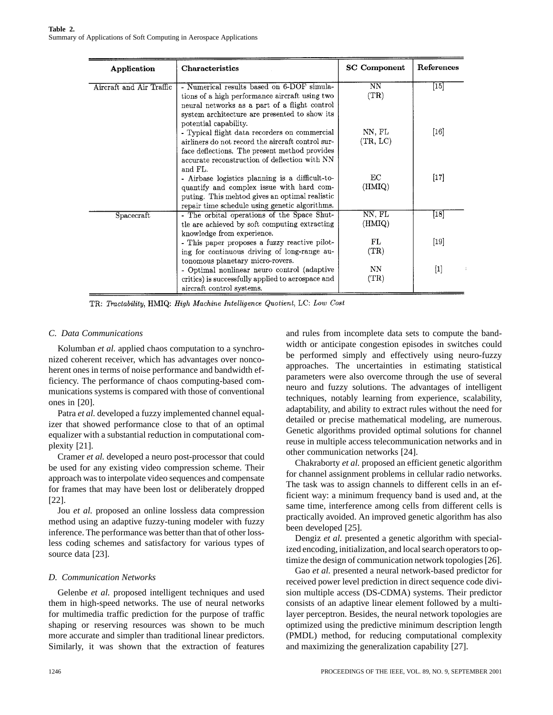| Application              | Characteristics                                                                                                                                                                                                               | <b>SC</b> Component            | References        |
|--------------------------|-------------------------------------------------------------------------------------------------------------------------------------------------------------------------------------------------------------------------------|--------------------------------|-------------------|
| Aircraft and Air Traffic | - Numerical results based on 6-DOF simula-<br>tions of a high performance aircraft using two<br>neural networks as a part of a flight control<br>system architecture are presented to show its                                | $\overline{\text{NN}}$<br>(TR) | $[15]$            |
|                          | potential capability.<br>- Typical flight data recorders on commercial<br>airliners do not record the aircraft control sur-<br>face deflections. The present method provides<br>accurate reconstruction of deflection with NN | NN, FL<br>(TR, LC)             | $[16]$            |
|                          | and FL.<br>- Airbase logistics planning is a difficult-to-<br>quantify and complex issue with hard com-<br>puting. This mehtod gives an optimal realistic<br>repair time schedule using genetic algorithms.                   | $_{\rm EC}$<br>(HMIQ)          | $[17]$            |
| Spacecraft               | - The orbital operations of the Space Shut-<br>tle are achieved by soft computing extracting<br>knowledge from experience.                                                                                                    | NN, FL<br>(HMIQ)               | $\overline{[18]}$ |
|                          | - This paper proposes a fuzzy reactive pilot-<br>ing for continuous driving of long-range au-                                                                                                                                 | FL<br>(TR)                     | [19]              |
|                          | tonomous planetary micro-rovers.<br>- Optimal nonlinear neuro control (adaptive<br>critics) is successfully applied to aerospace and<br>aircraft control systems.                                                             | NN.<br>(TR)                    | $[1]$             |

TR: Tractability, HMIQ: High Machine Intelligence Quotient, LC: Low Cost

# *C. Data Communications*

Kolumban *et al.* applied chaos computation to a synchronized coherent receiver, which has advantages over noncoherent ones in terms of noise performance and bandwidth efficiency. The performance of chaos computing-based communications systems is compared with those of conventional ones in [20].

Patra *et al.* developed a fuzzy implemented channel equalizer that showed performance close to that of an optimal equalizer with a substantial reduction in computational complexity [21].

Cramer *et al.* developed a neuro post-processor that could be used for any existing video compression scheme. Their approach was to interpolate video sequences and compensate for frames that may have been lost or deliberately dropped [22].

Jou *et al.* proposed an online lossless data compression method using an adaptive fuzzy-tuning modeler with fuzzy inference. The performance was better than that of other lossless coding schemes and satisfactory for various types of source data [23].

# *D. Communication Networks*

Gelenbe *et al.* proposed intelligent techniques and used them in high-speed networks. The use of neural networks for multimedia traffic prediction for the purpose of traffic shaping or reserving resources was shown to be much more accurate and simpler than traditional linear predictors. Similarly, it was shown that the extraction of features

and rules from incomplete data sets to compute the bandwidth or anticipate congestion episodes in switches could be performed simply and effectively using neuro-fuzzy approaches. The uncertainties in estimating statistical parameters were also overcome through the use of several neuro and fuzzy solutions. The advantages of intelligent techniques, notably learning from experience, scalability, adaptability, and ability to extract rules without the need for detailed or precise mathematical modeling, are numerous. Genetic algorithms provided optimal solutions for channel reuse in multiple access telecommunication networks and in other communication networks [24].

Chakraborty *et al.* proposed an efficient genetic algorithm for channel assignment problems in cellular radio networks. The task was to assign channels to different cells in an efficient way: a minimum frequency band is used and, at the same time, interference among cells from different cells is practically avoided. An improved genetic algorithm has also been developed [25].

Dengiz *et al.* presented a genetic algorithm with specialized encoding, initialization, and local search operators to optimize the design of communication network topologies [26].

Gao *et al.* presented a neural network-based predictor for received power level prediction in direct sequence code division multiple access (DS-CDMA) systems. Their predictor consists of an adaptive linear element followed by a multilayer perceptron. Besides, the neural network topologies are optimized using the predictive minimum description length (PMDL) method, for reducing computational complexity and maximizing the generalization capability [27].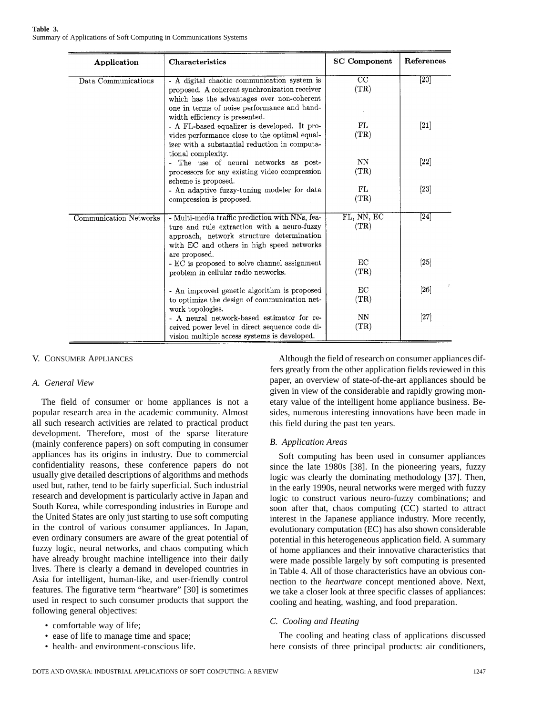| Application            | Characteristics                                                                                                                                                                                                             | <b>SC</b> Component            | References         |
|------------------------|-----------------------------------------------------------------------------------------------------------------------------------------------------------------------------------------------------------------------------|--------------------------------|--------------------|
| Data Communications    | - A digital chaotic communication system is<br>proposed. A coherent synchronization receiver<br>which has the advantages over non-coherent<br>one in terms of noise performance and band-<br>width efficiency is presented. | $\overline{\text{cc}}$<br>(TR) | [20]               |
|                        | - A FL-based equalizer is developed. It pro-<br>vides performance close to the optimal equal-<br>izer with a substantial reduction in computa-<br>tional complexity.                                                        | FL<br>(TR)                     | $[21]$             |
|                        | - The use of neural networks as post-<br>processors for any existing video compression<br>scheme is proposed.                                                                                                               | NN<br>(TR)                     | $[22]$             |
|                        | - An adaptive fuzzy-tuning modeler for data<br>compression is proposed.                                                                                                                                                     | FL<br>(TR)                     | 23                 |
| Communication Networks | - Multi-media traffic prediction with NNs, fea-<br>ture and rule extraction with a neuro-fuzzy<br>approach, network structure determination<br>with EC and others in high speed networks<br>are proposed.                   | FL, NN, EC<br>(TR)             | $\left[ 24\right]$ |
|                        | - EC is proposed to solve channel assignment<br>problem in cellular radio networks.                                                                                                                                         | EC<br>(TR)                     | 25                 |
|                        | - An improved genetic algorithm is proposed<br>to optimize the design of communication net-<br>work topologies.                                                                                                             | EC<br>(TR)                     | $[26]$             |
|                        | - A neural network-based estimator for re-<br>ceived power level in direct sequence code di-<br>vision multiple access systems is developed.                                                                                | NN<br>(TR)                     | $[27]$             |

## V. CONSUMER APPLIANCES

# *A. General View*

The field of consumer or home appliances is not a popular research area in the academic community. Almost all such research activities are related to practical product development. Therefore, most of the sparse literature (mainly conference papers) on soft computing in consumer appliances has its origins in industry. Due to commercial confidentiality reasons, these conference papers do not usually give detailed descriptions of algorithms and methods used but, rather, tend to be fairly superficial. Such industrial research and development is particularly active in Japan and South Korea, while corresponding industries in Europe and the United States are only just starting to use soft computing in the control of various consumer appliances. In Japan, even ordinary consumers are aware of the great potential of fuzzy logic, neural networks, and chaos computing which have already brought machine intelligence into their daily lives. There is clearly a demand in developed countries in Asia for intelligent, human-like, and user-friendly control features. The figurative term "heartware" [30] is sometimes used in respect to such consumer products that support the following general objectives:

- comfortable way of life;
- ease of life to manage time and space;
- health- and environment-conscious life.

Although the field of research on consumer appliances differs greatly from the other application fields reviewed in this paper, an overview of state-of-the-art appliances should be given in view of the considerable and rapidly growing monetary value of the intelligent home appliance business. Besides, numerous interesting innovations have been made in this field during the past ten years.

## *B. Application Areas*

Soft computing has been used in consumer appliances since the late 1980s [38]. In the pioneering years, fuzzy logic was clearly the dominating methodology [37]. Then, in the early 1990s, neural networks were merged with fuzzy logic to construct various neuro-fuzzy combinations; and soon after that, chaos computing (CC) started to attract interest in the Japanese appliance industry. More recently, evolutionary computation (EC) has also shown considerable potential in this heterogeneous application field. A summary of home appliances and their innovative characteristics that were made possible largely by soft computing is presented in Table 4. All of those characteristics have an obvious connection to the *heartware* concept mentioned above. Next, we take a closer look at three specific classes of appliances: cooling and heating, washing, and food preparation.

# *C. Cooling and Heating*

The cooling and heating class of applications discussed here consists of three principal products: air conditioners,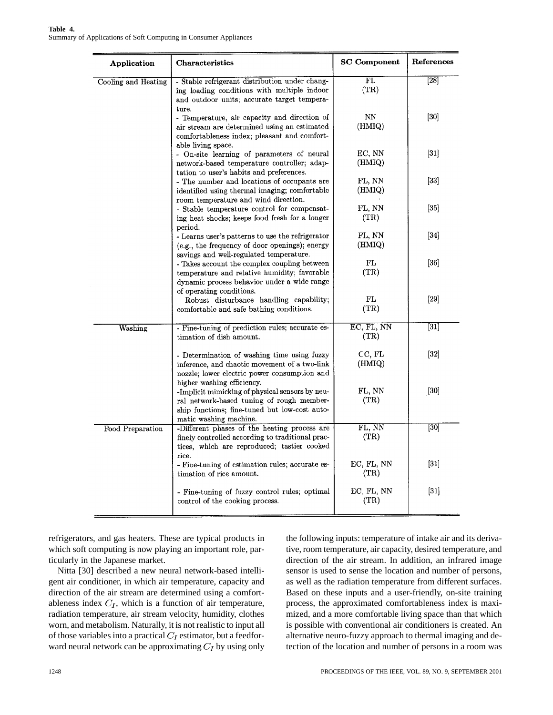| Application         | Characteristics                                                                                                                                                            | <b>SC Component</b> | References        |
|---------------------|----------------------------------------------------------------------------------------------------------------------------------------------------------------------------|---------------------|-------------------|
| Cooling and Heating | - Stable refrigerant distribution under chang-<br>ing loading conditions with multiple indoor<br>and outdoor units; accurate target tempera-<br>ture.                      | FL<br>(TR)          | [28]              |
|                     | - Temperature, air capacity and direction of<br>air stream are determined using an estimated<br>comfortableness index; pleasant and comfort-<br>able living space.         | NN<br>(HMIQ)        | $[30]$            |
|                     | - On-site learning of parameters of neural<br>network-based temperature controller; adap-<br>tation to user's habits and preferences.                                      | EC, NN<br>(HMIQ)    | $[31]$            |
|                     | - The number and locations of occupants are<br>identified using thermal imaging; comfortable<br>room temperature and wind direction.                                       | FL, NN<br>(HMIQ)    | $\left[33\right]$ |
|                     | - Stable temperature control for compensat-<br>ing heat shocks; keeps food fresh for a longer<br>period.                                                                   | FL, NN<br>(TR)      | $\left[35\right]$ |
|                     | - Learns user's patterns to use the refrigerator<br>(e.g., the frequency of door openings); energy<br>savings and well-regulated temperature.                              | FL, NN<br>(HMIQ)    | $\left[34\right]$ |
|                     | - Takes account the complex coupling between<br>temperature and relative humidity; favorable<br>dynamic process behavior under a wide range<br>of operating conditions.    | FL<br>(TR)          | $[36]$            |
|                     | - Robust disturbance handling capability;<br>comfortable and safe bathing conditions.                                                                                      | FL<br>(TR)          | [29]              |
| Washing             | - Fine-tuning of prediction rules; accurate es-<br>timation of dish amount.                                                                                                | EC, FL, NN<br>(TR)  | 31                |
|                     | - Determination of washing time using fuzzy<br>inference, and chaotic movement of a two-link<br>nozzle; lower electric power consumption and<br>higher washing efficiency. | CC, FL<br>(HMIQ)    | $[32]$            |
|                     | -Implicit mimicking of physical sensors by neu-<br>ral network-based tuning of rough member-<br>ship functions; fine-tuned but low-cost auto-<br>matic washing machine.    | FL, NN<br>(TR)      | $[30]$            |
| Food Preparation    | -Different phases of the heating process are<br>finely controlled according to traditional prac-<br>tices, which are reproduced; tastier cooked<br>rice.                   | FL, NN<br>(TR)      | [30]              |
|                     | - Fine-tuning of estimation rules; accurate es-<br>timation of rice amount.                                                                                                | EC, FL, NN<br>(TR)  | $[31]$            |
|                     | - Fine-tuning of fuzzy control rules; optimal<br>control of the cooking process.                                                                                           | EC, FL, NN<br>(TR)  | $[31]$            |

refrigerators, and gas heaters. These are typical products in which soft computing is now playing an important role, particularly in the Japanese market.

Nitta [30] described a new neural network-based intelligent air conditioner, in which air temperature, capacity and direction of the air stream are determined using a comfortableness index  $C_I$ , which is a function of air temperature, radiation temperature, air stream velocity, humidity, clothes worn, and metabolism. Naturally, it is not realistic to input all of those variables into a practical  $C_I$  estimator, but a feedforward neural network can be approximating  $C_I$  by using only the following inputs: temperature of intake air and its derivative, room temperature, air capacity, desired temperature, and direction of the air stream. In addition, an infrared image sensor is used to sense the location and number of persons, as well as the radiation temperature from different surfaces. Based on these inputs and a user-friendly, on-site training process, the approximated comfortableness index is maximized, and a more comfortable living space than that which is possible with conventional air conditioners is created. An alternative neuro-fuzzy approach to thermal imaging and detection of the location and number of persons in a room was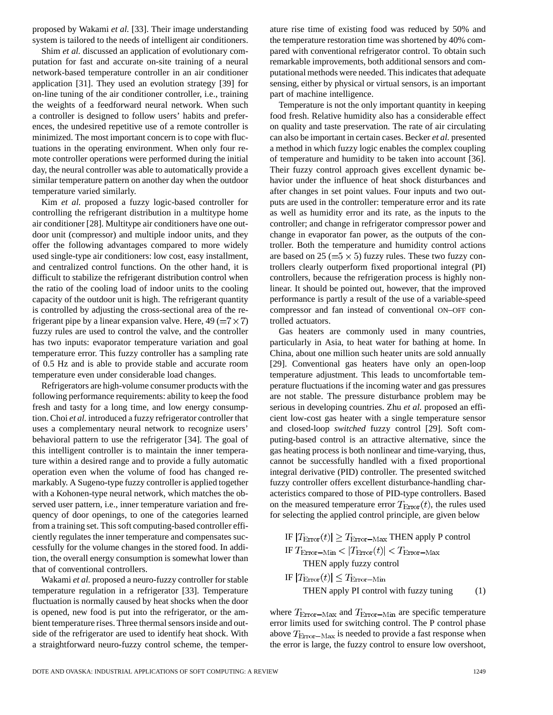proposed by Wakami *et al.* [33]. Their image understanding system is tailored to the needs of intelligent air conditioners.

Shim *et al.* discussed an application of evolutionary computation for fast and accurate on-site training of a neural network-based temperature controller in an air conditioner application [31]. They used an evolution strategy [39] for on-line tuning of the air conditioner controller, i.e., training the weights of a feedforward neural network. When such a controller is designed to follow users' habits and preferences, the undesired repetitive use of a remote controller is minimized. The most important concern is to cope with fluctuations in the operating environment. When only four remote controller operations were performed during the initial day, the neural controller was able to automatically provide a similar temperature pattern on another day when the outdoor temperature varied similarly.

Kim *et al.* proposed a fuzzy logic-based controller for controlling the refrigerant distribution in a multitype home air conditioner [28]. Multitype air conditioners have one outdoor unit (compressor) and multiple indoor units, and they offer the following advantages compared to more widely used single-type air conditioners: low cost, easy installment, and centralized control functions. On the other hand, it is difficult to stabilize the refrigerant distribution control when the ratio of the cooling load of indoor units to the cooling capacity of the outdoor unit is high. The refrigerant quantity is controlled by adjusting the cross-sectional area of the refrigerant pipe by a linear expansion valve. Here,  $49 (=7 \times 7)$ fuzzy rules are used to control the valve, and the controller has two inputs: evaporator temperature variation and goal temperature error. This fuzzy controller has a sampling rate of 0.5 Hz and is able to provide stable and accurate room temperature even under considerable load changes.

Refrigerators are high-volume consumer products with the following performance requirements: ability to keep the food fresh and tasty for a long time, and low energy consumption. Choi *et al.* introduced a fuzzy refrigerator controller that uses a complementary neural network to recognize users' behavioral pattern to use the refrigerator [34]. The goal of this intelligent controller is to maintain the inner temperature within a desired range and to provide a fully automatic operation even when the volume of food has changed remarkably. A Sugeno-type fuzzy controller is applied together with a Kohonen-type neural network, which matches the observed user pattern, i.e., inner temperature variation and frequency of door openings, to one of the categories learned from a training set. This soft computing-based controller efficiently regulates the inner temperature and compensates successfully for the volume changes in the stored food. In addition, the overall energy consumption is somewhat lower than that of conventional controllers.

Wakami *et al.* proposed a neuro-fuzzy controller for stable temperature regulation in a refrigerator [33]. Temperature fluctuation is normally caused by heat shocks when the door is opened, new food is put into the refrigerator, or the ambient temperature rises. Three thermal sensors inside and outside of the refrigerator are used to identify heat shock. With a straightforward neuro-fuzzy control scheme, the temperature rise time of existing food was reduced by 50% and the temperature restoration time was shortened by 40% compared with conventional refrigerator control. To obtain such remarkable improvements, both additional sensors and computational methods were needed. This indicates that adequate sensing, either by physical or virtual sensors, is an important part of machine intelligence.

Temperature is not the only important quantity in keeping food fresh. Relative humidity also has a considerable effect on quality and taste preservation. The rate of air circulating can also be important in certain cases. Becker *et al.* presented a method in which fuzzy logic enables the complex coupling of temperature and humidity to be taken into account [36]. Their fuzzy control approach gives excellent dynamic behavior under the influence of heat shock disturbances and after changes in set point values. Four inputs and two outputs are used in the controller: temperature error and its rate as well as humidity error and its rate, as the inputs to the controller; and change in refrigerator compressor power and change in evaporator fan power, as the outputs of the controller. Both the temperature and humidity control actions are based on 25 ( $=$ 5  $\times$  5) fuzzy rules. These two fuzzy controllers clearly outperform fixed proportional integral (PI) controllers, because the refrigeration process is highly nonlinear. It should be pointed out, however, that the improved performance is partly a result of the use of a variable-speed compressor and fan instead of conventional ON–OFF controlled actuators.

Gas heaters are commonly used in many countries, particularly in Asia, to heat water for bathing at home. In China, about one million such heater units are sold annually [29]. Conventional gas heaters have only an open-loop temperature adjustment. This leads to uncomfortable temperature fluctuations if the incoming water and gas pressures are not stable. The pressure disturbance problem may be serious in developing countries. Zhu *et al.* proposed an efficient low-cost gas heater with a single temperature sensor and closed-loop *switched* fuzzy control [29]. Soft computing-based control is an attractive alternative, since the gas heating process is both nonlinear and time-varying, thus, cannot be successfully handled with a fixed proportional integral derivative (PID) controller. The presented switched fuzzy controller offers excellent disturbance-handling characteristics compared to those of PID-type controllers. Based on the measured temperature error  $T_{\text{Error}}(t)$ , the rules used for selecting the applied control principle, are given below

IF 
$$
|T_{\text{Error}}(t)| \geq T_{\text{Error}-\text{Max}}
$$
 THEN apply P control  
\nIF  $T_{\text{Error}-\text{Min}} < |T_{\text{Error}}(t)| < T_{\text{Error}-\text{Max}}$   
\nTHEN apply fuzzy control  
\nIF  $|T_{\text{Error}}(t)| \leq T_{\text{Error}-\text{Min}}$   
\nTHEN apply PI control with fuzzy tuning (1)

where  $T_{\text{Error}-\text{Max}}$  and  $T_{\text{Error}-\text{Min}}$  are specific temperature error limits used for switching control. The P control phase above  $T_{\text{Error}-\text{Max}}$  is needed to provide a fast response when the error is large, the fuzzy control to ensure low overshoot,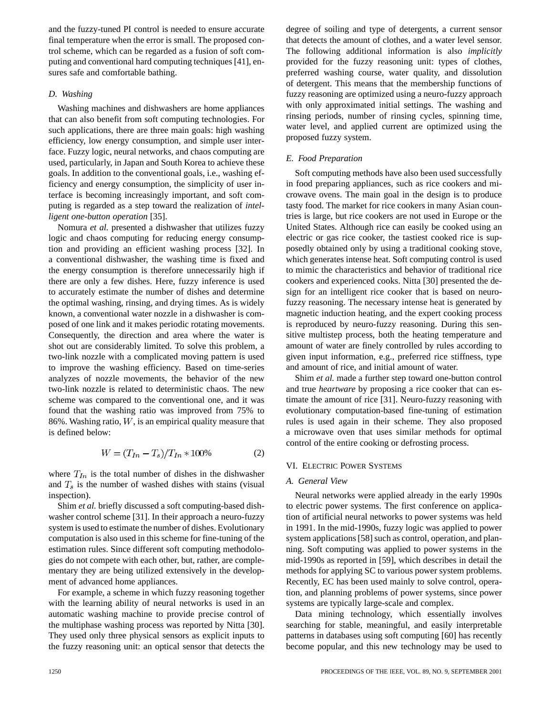and the fuzzy-tuned PI control is needed to ensure accurate final temperature when the error is small. The proposed control scheme, which can be regarded as a fusion of soft computing and conventional hard computing techniques [41], ensures safe and comfortable bathing.

## *D. Washing*

Washing machines and dishwashers are home appliances that can also benefit from soft computing technologies. For such applications, there are three main goals: high washing efficiency, low energy consumption, and simple user interface. Fuzzy logic, neural networks, and chaos computing are used, particularly, in Japan and South Korea to achieve these goals. In addition to the conventional goals, i.e., washing efficiency and energy consumption, the simplicity of user interface is becoming increasingly important, and soft computing is regarded as a step toward the realization of *intelligent one-button operation* [35].

Nomura *et al.* presented a dishwasher that utilizes fuzzy logic and chaos computing for reducing energy consumption and providing an efficient washing process [32]. In a conventional dishwasher, the washing time is fixed and the energy consumption is therefore unnecessarily high if there are only a few dishes. Here, fuzzy inference is used to accurately estimate the number of dishes and determine the optimal washing, rinsing, and drying times. As is widely known, a conventional water nozzle in a dishwasher is composed of one link and it makes periodic rotating movements. Consequently, the direction and area where the water is shot out are considerably limited. To solve this problem, a two-link nozzle with a complicated moving pattern is used to improve the washing efficiency. Based on time-series analyzes of nozzle movements, the behavior of the new two-link nozzle is related to deterministic chaos. The new scheme was compared to the conventional one, and it was found that the washing ratio was improved from 75% to 86%. Washing ratio,  $W$ , is an empirical quality measure that is defined below:

$$
W = (T_{In} - T_s)/T_{In} * 100\% \tag{2}
$$

where  $T_{In}$  is the total number of dishes in the dishwasher and  $T<sub>s</sub>$  is the number of washed dishes with stains (visual inspection).

Shim *et al.* briefly discussed a soft computing-based dishwasher control scheme [31]. In their approach a neuro-fuzzy system is used to estimate the number of dishes. Evolutionary computation is also used in this scheme for fine-tuning of the estimation rules. Since different soft computing methodologies do not compete with each other, but, rather, are complementary they are being utilized extensively in the development of advanced home appliances.

For example, a scheme in which fuzzy reasoning together with the learning ability of neural networks is used in an automatic washing machine to provide precise control of the multiphase washing process was reported by Nitta [30]. They used only three physical sensors as explicit inputs to the fuzzy reasoning unit: an optical sensor that detects the degree of soiling and type of detergents, a current sensor that detects the amount of clothes, and a water level sensor. The following additional information is also *implicitly* provided for the fuzzy reasoning unit: types of clothes, preferred washing course, water quality, and dissolution of detergent. This means that the membership functions of fuzzy reasoning are optimized using a neuro-fuzzy approach with only approximated initial settings. The washing and rinsing periods, number of rinsing cycles, spinning time, water level, and applied current are optimized using the proposed fuzzy system.

# *E. Food Preparation*

Soft computing methods have also been used successfully in food preparing appliances, such as rice cookers and microwave ovens. The main goal in the design is to produce tasty food. The market for rice cookers in many Asian countries is large, but rice cookers are not used in Europe or the United States. Although rice can easily be cooked using an electric or gas rice cooker, the tastiest cooked rice is supposedly obtained only by using a traditional cooking stove, which generates intense heat. Soft computing control is used to mimic the characteristics and behavior of traditional rice cookers and experienced cooks. Nitta [30] presented the design for an intelligent rice cooker that is based on neurofuzzy reasoning. The necessary intense heat is generated by magnetic induction heating, and the expert cooking process is reproduced by neuro-fuzzy reasoning. During this sensitive multistep process, both the heating temperature and amount of water are finely controlled by rules according to given input information, e.g., preferred rice stiffness, type and amount of rice, and initial amount of water.

Shim *et al.* made a further step toward one-button control and true *heartware* by proposing a rice cooker that can estimate the amount of rice [31]. Neuro-fuzzy reasoning with evolutionary computation-based fine-tuning of estimation rules is used again in their scheme. They also proposed a microwave oven that uses similar methods for optimal control of the entire cooking or defrosting process.

## VI. ELECTRIC POWER SYSTEMS

## *A. General View*

Neural networks were applied already in the early 1990s to electric power systems. The first conference on application of artificial neural networks to power systems was held in 1991. In the mid-1990s, fuzzy logic was applied to power system applications [58] such as control, operation, and planning. Soft computing was applied to power systems in the mid-1990s as reported in [59], which describes in detail the methods for applying SC to various power system problems. Recently, EC has been used mainly to solve control, operation, and planning problems of power systems, since power systems are typically large-scale and complex.

Data mining technology, which essentially involves searching for stable, meaningful, and easily interpretable patterns in databases using soft computing [60] has recently become popular, and this new technology may be used to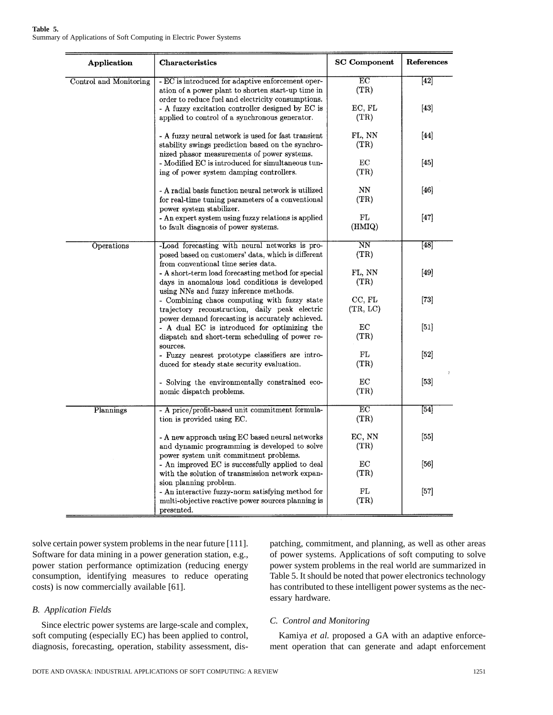| Application            | <b>Characteristics</b>                                                                                                                                        | <b>SC Component</b>            | References |
|------------------------|---------------------------------------------------------------------------------------------------------------------------------------------------------------|--------------------------------|------------|
| Control and Monitoring | - EC is introduced for adaptive enforcement oper-<br>ation of a power plant to shorten start-up time in<br>order to reduce fuel and electricity consumptions. | EC<br>(TR)                     | $[42]$     |
|                        | - A fuzzy excitation controller designed by EC is<br>applied to control of a synchronous generator.                                                           | EC, FL<br>(TR)                 | [43]       |
|                        | - A fuzzy neural network is used for fast transient<br>stability swings prediction based on the synchro-                                                      | FL, NN<br>(TR)                 | $[44]$     |
|                        | nized phasor measurements of power systems.<br>- Modified EC is introduced for simultaneous tun-<br>ing of power system damping controllers.                  | EC<br>(TR)                     | $[45]$     |
|                        | - A radial basis function neural network is utilized<br>for real-time tuning parameters of a conventional<br>power system stabilizer.                         | NN<br>(TR)                     | $[46]$     |
|                        | - An expert system using fuzzy relations is applied<br>to fault diagnosis of power systems.                                                                   | FL<br>(HMIQ)                   | $[47]$     |
| Operations             | -Load forecasting with neural networks is pro-<br>posed based on customers' data, which is different<br>from conventional time series data.                   | $\overline{\text{NN}}$<br>(TR) | [48]       |
|                        | - A short-term load forecasting method for special<br>days in anomalous load conditions is developed<br>using NNs and fuzzy inference methods.                | FL, NN<br>(TR)                 | [49]       |
|                        | - Combining chaos computing with fuzzy state<br>trajectory reconstruction, daily peak electric<br>power demand forecasting is accurately achieved.            | CC. FL<br>(TR, LC)             | $[73]$     |
|                        | - A dual EC is introduced for optimizing the<br>dispatch and short-term scheduling of power re-                                                               | EC<br>(TR)                     | $[51]$     |
|                        | sources.<br>- Fuzzy nearest prototype classifiers are intro-<br>duced for steady state security evaluation.                                                   | FL<br>(TR)                     | $[52]$     |
|                        | - Solving the environmentally constrained eco-<br>nomic dispatch problems.                                                                                    | EС<br>(TR)                     | $[53]$     |
| Plannings              | - A price/profit-based unit commitment formula-<br>tion is provided using EC.                                                                                 | $_{\rm EC}$<br>(TR)            | $[54]$     |
|                        | - A new approach using EC based neural networks<br>and dynamic programming is developed to solve<br>power system unit commitment problems.                    | EC, NN<br>(TR)                 | [55]       |
|                        | - An improved EC is successfully applied to deal<br>with the solution of transmission network expan-<br>sion planning problem.                                | EC<br>(TR)                     | [56]       |
|                        | - An interactive fuzzy-norm satisfying method for<br>multi-objective reactive power sources planning is<br>presented.                                         | FL<br>(TR)                     | $[57]$     |

solve certain power system problems in the near future [111]. Software for data mining in a power generation station, e.g., power station performance optimization (reducing energy consumption, identifying measures to reduce operating costs) is now commercially available [61].

# *B. Application Fields*

Since electric power systems are large-scale and complex, soft computing (especially EC) has been applied to control, diagnosis, forecasting, operation, stability assessment, dispatching, commitment, and planning, as well as other areas of power systems. Applications of soft computing to solve power system problems in the real world are summarized in Table 5. It should be noted that power electronics technology has contributed to these intelligent power systems as the necessary hardware.

# *C. Control and Monitoring*

Kamiya *et al.* proposed a GA with an adaptive enforcement operation that can generate and adapt enforcement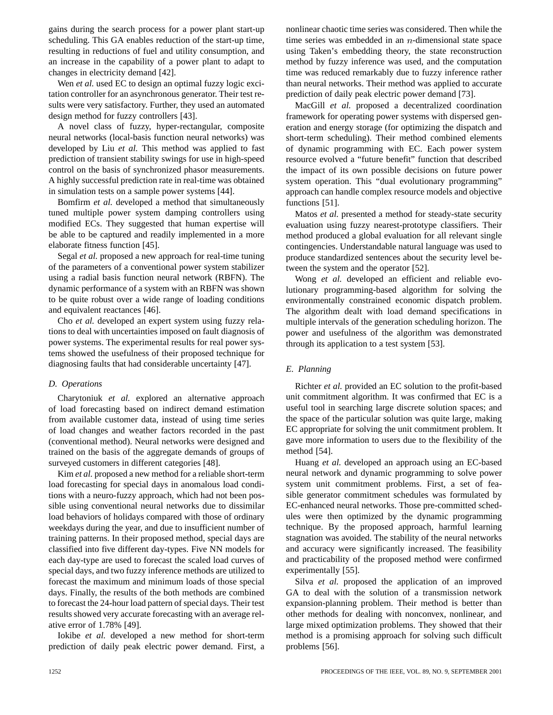gains during the search process for a power plant start-up scheduling. This GA enables reduction of the start-up time, resulting in reductions of fuel and utility consumption, and an increase in the capability of a power plant to adapt to changes in electricity demand [42].

Wen *et al.* used EC to design an optimal fuzzy logic excitation controller for an asynchronous generator. Their test results were very satisfactory. Further, they used an automated design method for fuzzy controllers [43].

A novel class of fuzzy, hyper-rectangular, composite neural networks (local-basis function neural networks) was developed by Liu *et al.* This method was applied to fast prediction of transient stability swings for use in high-speed control on the basis of synchronized phasor measurements. A highly successful prediction rate in real-time was obtained in simulation tests on a sample power systems [44].

Bomfirm *et al.* developed a method that simultaneously tuned multiple power system damping controllers using modified ECs. They suggested that human expertise will be able to be captured and readily implemented in a more elaborate fitness function [45].

Segal *et al.* proposed a new approach for real-time tuning of the parameters of a conventional power system stabilizer using a radial basis function neural network (RBFN). The dynamic performance of a system with an RBFN was shown to be quite robust over a wide range of loading conditions and equivalent reactances [46].

Cho *et al.* developed an expert system using fuzzy relations to deal with uncertainties imposed on fault diagnosis of power systems. The experimental results for real power systems showed the usefulness of their proposed technique for diagnosing faults that had considerable uncertainty [47].

# *D. Operations*

Charytoniuk *et al.* explored an alternative approach of load forecasting based on indirect demand estimation from available customer data, instead of using time series of load changes and weather factors recorded in the past (conventional method). Neural networks were designed and trained on the basis of the aggregate demands of groups of surveyed customers in different categories [48].

Kim *et al.* proposed a new method for a reliable short-term load forecasting for special days in anomalous load conditions with a neuro-fuzzy approach, which had not been possible using conventional neural networks due to dissimilar load behaviors of holidays compared with those of ordinary weekdays during the year, and due to insufficient number of training patterns. In their proposed method, special days are classified into five different day-types. Five NN models for each day-type are used to forecast the scaled load curves of special days, and two fuzzy inference methods are utilized to forecast the maximum and minimum loads of those special days. Finally, the results of the both methods are combined to forecast the 24-hour load pattern of special days. Their test results showed very accurate forecasting with an average relative error of 1.78% [49].

Iokibe *et al.* developed a new method for short-term prediction of daily peak electric power demand. First, a nonlinear chaotic time series was considered. Then while the time series was embedded in an  $n$ -dimensional state space using Taken's embedding theory, the state reconstruction method by fuzzy inference was used, and the computation time was reduced remarkably due to fuzzy inference rather than neural networks. Their method was applied to accurate prediction of daily peak electric power demand [73].

MacGill *et al.* proposed a decentralized coordination framework for operating power systems with dispersed generation and energy storage (for optimizing the dispatch and short-term scheduling). Their method combined elements of dynamic programming with EC. Each power system resource evolved a "future benefit" function that described the impact of its own possible decisions on future power system operation. This "dual evolutionary programming" approach can handle complex resource models and objective functions [51].

Matos *et al.* presented a method for steady-state security evaluation using fuzzy nearest-prototype classifiers. Their method produced a global evaluation for all relevant single contingencies. Understandable natural language was used to produce standardized sentences about the security level between the system and the operator [52].

Wong *et al.* developed an efficient and reliable evolutionary programming-based algorithm for solving the environmentally constrained economic dispatch problem. The algorithm dealt with load demand specifications in multiple intervals of the generation scheduling horizon. The power and usefulness of the algorithm was demonstrated through its application to a test system [53].

# *E. Planning*

Richter *et al.* provided an EC solution to the profit-based unit commitment algorithm. It was confirmed that EC is a useful tool in searching large discrete solution spaces; and the space of the particular solution was quite large, making EC appropriate for solving the unit commitment problem. It gave more information to users due to the flexibility of the method [54].

Huang *et al.* developed an approach using an EC-based neural network and dynamic programming to solve power system unit commitment problems. First, a set of feasible generator commitment schedules was formulated by EC-enhanced neural networks. Those pre-committed schedules were then optimized by the dynamic programming technique. By the proposed approach, harmful learning stagnation was avoided. The stability of the neural networks and accuracy were significantly increased. The feasibility and practicability of the proposed method were confirmed experimentally [55].

Silva *et al.* proposed the application of an improved GA to deal with the solution of a transmission network expansion-planning problem. Their method is better than other methods for dealing with nonconvex, nonlinear, and large mixed optimization problems. They showed that their method is a promising approach for solving such difficult problems [56].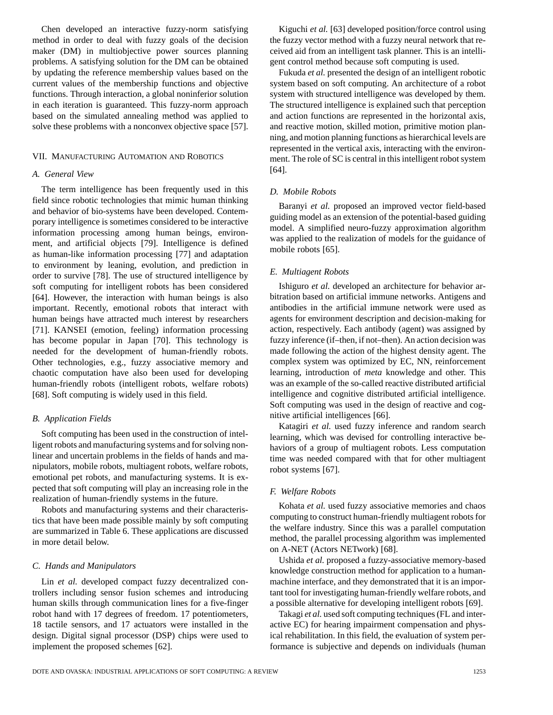Chen developed an interactive fuzzy-norm satisfying method in order to deal with fuzzy goals of the decision maker (DM) in multiobjective power sources planning problems. A satisfying solution for the DM can be obtained by updating the reference membership values based on the current values of the membership functions and objective functions. Through interaction, a global noninferior solution in each iteration is guaranteed. This fuzzy-norm approach based on the simulated annealing method was applied to solve these problems with a nonconvex objective space [57].

## VII. MANUFACTURING AUTOMATION AND ROBOTICS

### *A. General View*

The term intelligence has been frequently used in this field since robotic technologies that mimic human thinking and behavior of bio-systems have been developed. Contemporary intelligence is sometimes considered to be interactive information processing among human beings, environment, and artificial objects [79]. Intelligence is defined as human-like information processing [77] and adaptation to environment by leaning, evolution, and prediction in order to survive [78]. The use of structured intelligence by soft computing for intelligent robots has been considered [64]. However, the interaction with human beings is also important. Recently, emotional robots that interact with human beings have attracted much interest by researchers [71]. KANSEI (emotion, feeling) information processing has become popular in Japan [70]. This technology is needed for the development of human-friendly robots. Other technologies, e.g., fuzzy associative memory and chaotic computation have also been used for developing human-friendly robots (intelligent robots, welfare robots) [68]. Soft computing is widely used in this field.

#### *B. Application Fields*

Soft computing has been used in the construction of intelligent robots and manufacturing systems and for solving nonlinear and uncertain problems in the fields of hands and manipulators, mobile robots, multiagent robots, welfare robots, emotional pet robots, and manufacturing systems. It is expected that soft computing will play an increasing role in the realization of human-friendly systems in the future.

Robots and manufacturing systems and their characteristics that have been made possible mainly by soft computing are summarized in Table 6. These applications are discussed in more detail below.

## *C. Hands and Manipulators*

Lin *et al.* developed compact fuzzy decentralized controllers including sensor fusion schemes and introducing human skills through communication lines for a five-finger robot hand with 17 degrees of freedom. 17 potentiometers, 18 tactile sensors, and 17 actuators were installed in the design. Digital signal processor (DSP) chips were used to implement the proposed schemes [62].

Kiguchi *et al.* [63] developed position/force control using the fuzzy vector method with a fuzzy neural network that received aid from an intelligent task planner. This is an intelligent control method because soft computing is used.

Fukuda *et al.* presented the design of an intelligent robotic system based on soft computing. An architecture of a robot system with structured intelligence was developed by them. The structured intelligence is explained such that perception and action functions are represented in the horizontal axis, and reactive motion, skilled motion, primitive motion planning, and motion planning functions as hierarchical levels are represented in the vertical axis, interacting with the environment. The role of SC is central in this intelligent robot system [64].

#### *D. Mobile Robots*

Baranyi *et al.* proposed an improved vector field-based guiding model as an extension of the potential-based guiding model. A simplified neuro-fuzzy approximation algorithm was applied to the realization of models for the guidance of mobile robots [65].

## *E. Multiagent Robots*

Ishiguro *et al.* developed an architecture for behavior arbitration based on artificial immune networks. Antigens and antibodies in the artificial immune network were used as agents for environment description and decision-making for action, respectively. Each antibody (agent) was assigned by fuzzy inference (if–then, if not–then). An action decision was made following the action of the highest density agent. The complex system was optimized by EC, NN, reinforcement learning, introduction of *meta* knowledge and other. This was an example of the so-called reactive distributed artificial intelligence and cognitive distributed artificial intelligence. Soft computing was used in the design of reactive and cognitive artificial intelligences [66].

Katagiri *et al.* used fuzzy inference and random search learning, which was devised for controlling interactive behaviors of a group of multiagent robots. Less computation time was needed compared with that for other multiagent robot systems [67].

#### *F. Welfare Robots*

Kohata *et al.* used fuzzy associative memories and chaos computing to construct human-friendly multiagent robots for the welfare industry. Since this was a parallel computation method, the parallel processing algorithm was implemented on A-NET (Actors NETwork) [68].

Ushida *et al.* proposed a fuzzy-associative memory-based knowledge construction method for application to a humanmachine interface, and they demonstrated that it is an important tool for investigating human-friendly welfare robots, and a possible alternative for developing intelligent robots [69].

Takagi *et al.* used soft computing techniques (FL and interactive EC) for hearing impairment compensation and physical rehabilitation. In this field, the evaluation of system performance is subjective and depends on individuals (human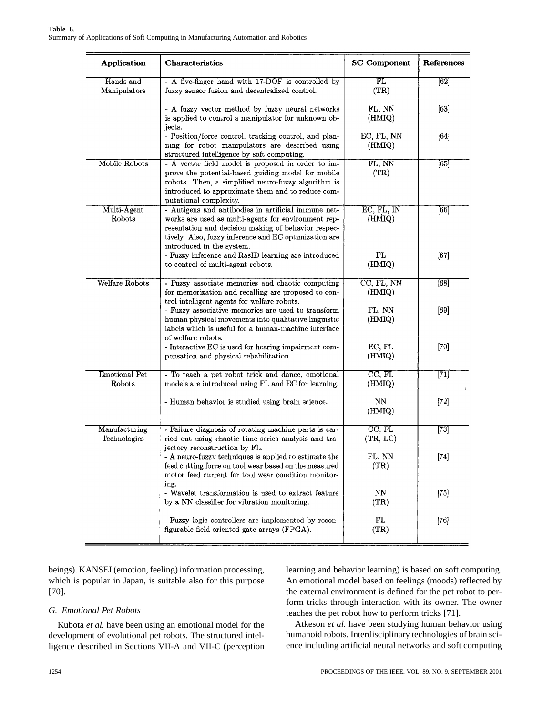| <b>Application</b>             | <b>Characteristics</b>                                                                                                                                                                                                                                  | <b>SC</b> Component                    | References           |
|--------------------------------|---------------------------------------------------------------------------------------------------------------------------------------------------------------------------------------------------------------------------------------------------------|----------------------------------------|----------------------|
| Hands and<br>Manipulators      | - A five-finger hand with 17-DOF is controlled by<br>fuzzy sensor fusion and decentralized control.                                                                                                                                                     | $_{\rm FL}$<br>(TR)                    | $\overline{[62]}$    |
|                                | - A fuzzy vector method by fuzzy neural networks<br>is applied to control a manipulator for unknown ob-<br>jects.                                                                                                                                       | FL, NN<br>(HMIQ)                       | [63]                 |
|                                | - Position/force control, tracking control, and plan-<br>ning for robot manipulators are described using<br>structured intelligence by soft computing.                                                                                                  | EC, FL, NN<br>(HMIQ)                   | [64]                 |
| Mobile Robots                  | - A vector field model is proposed in order to im-<br>prove the potential-based guiding model for mobile<br>robots. Then, a simplified neuro-fuzzy algorithm is<br>introduced to approximate them and to reduce com-<br>putational complexity.          | FL, NN<br>(TR)                         | [65]                 |
| Multi-Agent<br>Robots          | - Antigens and antibodies in artificial immune net-<br>works are used as multi-agents for environment rep-<br>resentation and decision making of behavior respec-<br>tively. Also, fuzzy inference and EC optimization are<br>introduced in the system. | EC, FL, IN<br>(HMIQ)                   | [66]                 |
|                                | - Fuzzy inference and RasID learning are introduced<br>to control of multi-agent robots.                                                                                                                                                                | FL<br>(HMIQ)                           | [67]                 |
| <b>Welfare Robots</b>          | - Fuzzy associate memories and chaotic computing<br>for memorization and recalling are proposed to con-<br>trol intelligent agents for welfare robots.                                                                                                  | CC, FL, NN<br>(HMIQ)                   | [68]                 |
|                                | - Fuzzy associative memories are used to transform<br>human physical movements into qualitative linguistic<br>labels which is useful for a human-machine interface<br>of welfare robots.                                                                | FL, NN<br>(HMIQ)                       | [69]                 |
|                                | - Interactive EC is used for hearing impairment com-<br>pensation and physical rehabilitation.                                                                                                                                                          | EC, FL<br>(HMIQ)                       | $[70]$               |
| <b>Emotional Pet</b><br>Robots | - To teach a pet robot trick and dance, emotional<br>models are introduced using FL and EC for learning.                                                                                                                                                | $\overline{\text{CC, FL}}$<br>(HMIQ)   | $\overline{[71]}$    |
|                                | - Human behavior is studied using brain science.                                                                                                                                                                                                        | NN<br>(HMIQ)                           | $[72]$               |
| Manufacturing<br>Technologies  | - Failure diagnosis of rotating machine parts is car-<br>ried out using chaotic time series analysis and tra-<br>jectory reconstruction by FL.                                                                                                          | $\overline{\text{CC, FL}}$<br>(TR, LC) | $[73]$               |
|                                | A neuro-fuzzy techniques is applied to estimate the $% \mathcal{N}$<br>feed cutting force on tool wear based on the measured<br>motor feed current for tool wear condition monitor-<br>ing.                                                             | FL, NN<br>(TR)                         | $[74] \label{eq:74}$ |
|                                | - Wavelet transformation is used to extract feature<br>by a NN classifier for vibration monitoring.                                                                                                                                                     | NN<br>(TR)                             | [75]                 |
|                                | - Fuzzy logic controllers are implemented by recon-<br>figurable field oriented gate arrays (FPGA).                                                                                                                                                     | FL<br>(TR)                             | $[76]$               |

beings). KANSEI (emotion, feeling) information processing, which is popular in Japan, is suitable also for this purpose [70].

# *G. Emotional Pet Robots*

Kubota *et al.* have been using an emotional model for the development of evolutional pet robots. The structured intelligence described in Sections VII-A and VII-C (perception learning and behavior learning) is based on soft computing. An emotional model based on feelings (moods) reflected by the external environment is defined for the pet robot to perform tricks through interaction with its owner. The owner teaches the pet robot how to perform tricks [71].

Atkeson *et al.* have been studying human behavior using humanoid robots. Interdisciplinary technologies of brain science including artificial neural networks and soft computing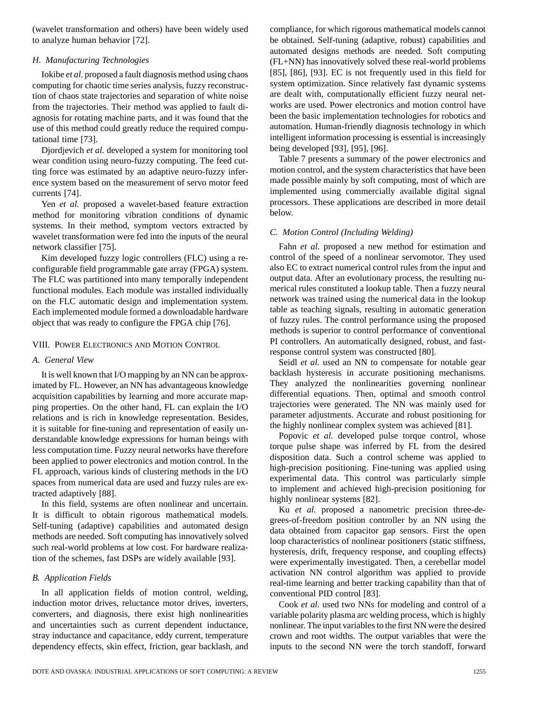(wavelet transformation and others) have been widely used to analyze human behavior [72].

## *H. Manufacturing Technologies*

Iokibe *et al.* proposed a fault diagnosis method using chaos computing for chaotic time series analysis, fuzzy reconstruction of chaos state trajectories and separation of white noise from the trajectories. Their method was applied to fault diagnosis for rotating machine parts, and it was found that the use of this method could greatly reduce the required computational time [73].

Djordjevich *et al.* developed a system for monitoring tool wear condition using neuro-fuzzy computing. The feed cutting force was estimated by an adaptive neuro-fuzzy inference system based on the measurement of servo motor feed currents [74].

Yen *et al.* proposed a wavelet-based feature extraction method for monitoring vibration conditions of dynamic systems. In their method, symptom vectors extracted by wavelet transformation were fed into the inputs of the neural network classifier [75].

Kim developed fuzzy logic controllers (FLC) using a reconfigurable field programmable gate array (FPGA) system. The FLC was partitioned into many temporally independent functional modules. Each module was installed individually on the FLC automatic design and implementation system. Each implemented module formed a downloadable hardware object that was ready to configure the FPGA chip [76].

## VIII. POWER ELECTRONICS AND MOTION CONTROL

#### *A. General View*

It is well known that I/O mapping by an NN can be approximated by FL. However, an NN has advantageous knowledge acquisition capabilities by learning and more accurate mapping properties. On the other hand, FL can explain the I/O relations and is rich in knowledge representation. Besides, it is suitable for fine-tuning and representation of easily understandable knowledge expressions for human beings with less computation time. Fuzzy neural networks have therefore been applied to power electronics and motion control. In the FL approach, various kinds of clustering methods in the I/O spaces from numerical data are used and fuzzy rules are extracted adaptively [88].

In this field, systems are often nonlinear and uncertain. It is difficult to obtain rigorous mathematical models. Self-tuning (adaptive) capabilities and automated design methods are needed. Soft computing has innovatively solved such real-world problems at low cost. For hardware realization of the schemes, fast DSPs are widely available [93].

## *B. Application Fields*

In all application fields of motion control, welding, induction motor drives, reluctance motor drives, inverters, converters, and diagnosis, there exist high nonlinearities and uncertainties such as current dependent inductance, stray inductance and capacitance, eddy current, temperature dependency effects, skin effect, friction, gear backlash, and compliance, for which rigorous mathematical models cannot be obtained. Self-tuning (adaptive, robust) capabilities and automated designs methods are needed. Soft computing (FL+NN) has innovatively solved these real-world problems [85], [86], [93]. EC is not frequently used in this field for system optimization. Since relatively fast dynamic systems are dealt with, computationally efficient fuzzy neural networks are used. Power electronics and motion control have been the basic implementation technologies for robotics and automation. Human-friendly diagnosis technology in which intelligent information processing is essential is increasingly being developed [93], [95], [96].

Table 7 presents a summary of the power electronics and motion control, and the system characteristics that have been made possible mainly by soft computing, most of which are implemented using commercially available digital signal processors. These applications are described in more detail below.

## *C. Motion Control (Including Welding)*

Fahn *et al.* proposed a new method for estimation and control of the speed of a nonlinear servomotor. They used also EC to extract numerical control rules from the input and output data. After an evolutionary process, the resulting numerical rules constituted a lookup table. Then a fuzzy neural network was trained using the numerical data in the lookup table as teaching signals, resulting in automatic generation of fuzzy rules. The control performance using the proposed methods is superior to control performance of conventional PI controllers. An automatically designed, robust, and fastresponse control system was constructed [80].

Seidl *et al.* used an NN to compensate for notable gear backlash hysteresis in accurate positioning mechanisms. They analyzed the nonlinearities governing nonlinear differential equations. Then, optimal and smooth control trajectories were generated. The NN was mainly used for parameter adjustments. Accurate and robust positioning for the highly nonlinear complex system was achieved [81].

Popovic *et al.* developed pulse torque control, whose torque pulse shape was inferred by FL from the desired disposition data. Such a control scheme was applied to high-precision positioning. Fine-tuning was applied using experimental data. This control was particularly simple to implement and achieved high-precision positioning for highly nonlinear systems [82].

Ku *et al.* proposed a nanometric precision three-degrees-of-freedom position controller by an NN using the data obtained from capacitor gap sensors. First the open loop characteristics of nonlinear positioners (static stiffness, hysteresis, drift, frequency response, and coupling effects) were experimentally investigated. Then, a cerebellar model activation NN control algorithm was applied to provide real-time learning and better tracking capability than that of conventional PID control [83].

Cook *et al.* used two NNs for modeling and control of a variable polarity plasma arc welding process, which is highly nonlinear. The input variables to the first NN were the desired crown and root widths. The output variables that were the inputs to the second NN were the torch standoff, forward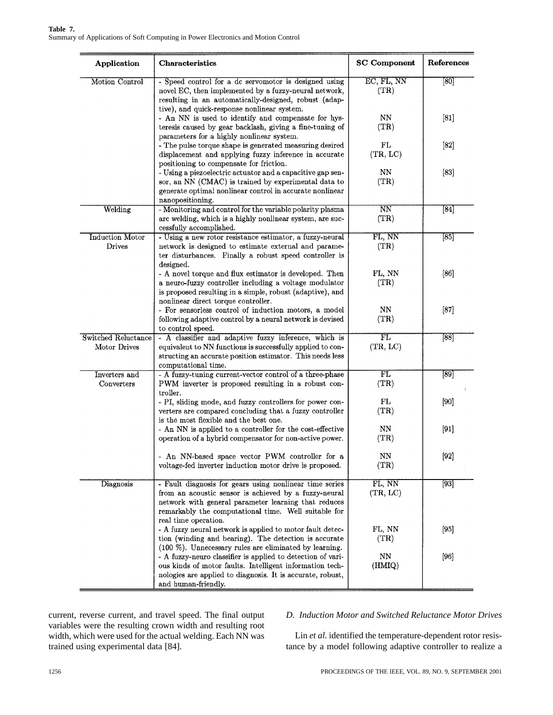| Application                                | <b>Characteristics</b>                                                                                                                                                                                                                                   | <b>SC</b> Component            | References         |
|--------------------------------------------|----------------------------------------------------------------------------------------------------------------------------------------------------------------------------------------------------------------------------------------------------------|--------------------------------|--------------------|
| Motion Control                             | - Speed control for a dc servomotor is designed using<br>novel EC, then implemented by a fuzzy-neural network,<br>resulting in an automatically-designed, robust (adap-<br>tive), and quick-response nonlinear system.                                   | EC, FL, NN<br>(TR)             | $\overline{[80]}$  |
|                                            | - An NN is used to identify and compensate for hys-<br>teresis caused by gear backlash, giving a fine-tuning of<br>parameters for a highly nonlinear system.                                                                                             | <b>NN</b><br>(TR)              | [81]               |
|                                            | - The pulse torque shape is generated measuring desired<br>displacement and applying fuzzy inference in accurate<br>positioning to compensate for friction.                                                                                              | FL<br>(TR, LC)                 | $[82]$             |
|                                            | - Using a piezoelectric actuator and a capacitive gap sen-<br>sor, an NN (CMAC) is trained by experimental data to<br>generate optimal nonlinear control in accurate nonlinear<br>nanopositioning.                                                       | <b>NN</b><br>(TR)              | $[83]$             |
| Welding                                    | - Monitoring and control for the variable polarity plasma<br>arc welding, which is a highly nonlinear system, are suc-<br>cessfully accomplished.                                                                                                        | $\overline{\text{NN}}$<br>(TR) | [84]               |
| <b>Induction Motor</b><br>Drives           | - Using a new rotor resistance estimator, a fuzzy-neural<br>network is designed to estimate external and parame-<br>ter disturbances. Finally a robust speed controller is<br>designed.                                                                  | FL, NN<br>(TR)                 | [85]               |
|                                            | - A novel torque and flux estimator is developed. Then<br>a neuro-fuzzy controller including a voltage modulator<br>is proposed resulting in a simple, robust (adaptive), and<br>nonlinear direct torque controller.                                     | FL, NN<br>(TR)                 | [86]               |
|                                            | - For sensorless control of induction motors, a model<br>following adaptive control by a neural network is devised<br>to control speed.                                                                                                                  | NN<br>(TR)                     | [87]               |
| <b>Switched Reluctance</b><br>Motor Drives | - A classifier and adaptive fuzzy inference, which is<br>equivalent to NN functions is successfully applied to con-<br>structing an accurate position estimator. This needs less<br>computational time.                                                  | FL<br>(TR, LC)                 | [88]               |
| Inverters and<br>Converters                | - A fuzzy-tuning current-vector control of a three-phase<br>PWM inverter is proposed resulting in a robust con-<br>troller.                                                                                                                              | $\overline{\text{FL}}$<br>(TR) | [89]               |
|                                            | - PI, sliding mode, and fuzzy controllers for power con-<br>verters are compared concluding that a fuzzy controller<br>is the most flexible and the best one.                                                                                            | FL<br>(TR)                     | [90]               |
|                                            | - An NN is applied to a controller for the cost-effective<br>operation of a hybrid compensator for non-active power.                                                                                                                                     | NΝ<br>(TR)                     | [91]               |
|                                            | An NN-based space vector PWM controller for a<br>voltage-fed inverter induction motor drive is proposed.                                                                                                                                                 | NN<br>(TR)                     | $\left[ 92\right]$ |
| Diagnosis                                  | - Fault diagnosis for gears using nonlinear time series<br>from an acoustic sensor is achieved by a fuzzy-neural<br>network with general parameter learning that reduces<br>remarkably the computational time. Well suitable for<br>real time operation. | FL, NN<br>(TR, LC)             | [93]               |
|                                            | - A fuzzy neural network is applied to motor fault detec-<br>tion (winding and bearing). The detection is accurate<br>$(100\%)$ . Unnecessary rules are eliminated by learning.                                                                          | FL, NN<br>(TR)                 | [95]               |
|                                            | - A fuzzy-neuro classifier is applied to detection of vari-<br>ous kinds of motor faults. Intelligent information tech-<br>nologies are applied to diagnosis. It is accurate, robust,<br>and human-friendly.                                             | NΝ<br>(HMIQ)                   | [96]               |

current, reverse current, and travel speed. The final output variables were the resulting crown width and resulting root width, which were used for the actual welding. Each NN was trained using experimental data [84].

# *D. Induction Motor and Switched Reluctance Motor Drives*

Lin *et al.* identified the temperature-dependent rotor resistance by a model following adaptive controller to realize a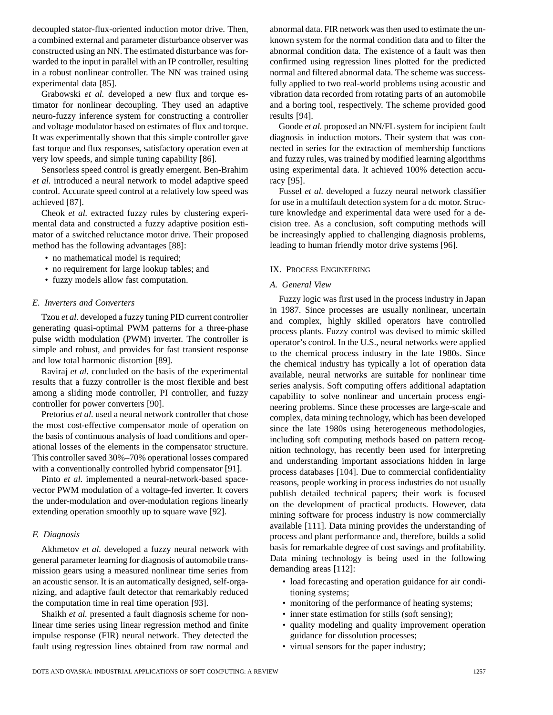decoupled stator-flux-oriented induction motor drive. Then, a combined external and parameter disturbance observer was constructed using an NN. The estimated disturbance was forwarded to the input in parallel with an IP controller, resulting in a robust nonlinear controller. The NN was trained using experimental data [85].

Grabowski *et al.* developed a new flux and torque estimator for nonlinear decoupling. They used an adaptive neuro-fuzzy inference system for constructing a controller and voltage modulator based on estimates of flux and torque. It was experimentally shown that this simple controller gave fast torque and flux responses, satisfactory operation even at very low speeds, and simple tuning capability [86].

Sensorless speed control is greatly emergent. Ben-Brahim *et al.* introduced a neural network to model adaptive speed control. Accurate speed control at a relatively low speed was achieved [87].

Cheok *et al.* extracted fuzzy rules by clustering experimental data and constructed a fuzzy adaptive position estimator of a switched reluctance motor drive. Their proposed method has the following advantages [88]:

- no mathematical model is required;
- no requirement for large lookup tables; and
- fuzzy models allow fast computation.

## *E. Inverters and Converters*

Tzou *et al.* developed a fuzzy tuning PID current controller generating quasi-optimal PWM patterns for a three-phase pulse width modulation (PWM) inverter. The controller is simple and robust, and provides for fast transient response and low total harmonic distortion [89].

Raviraj *et al.* concluded on the basis of the experimental results that a fuzzy controller is the most flexible and best among a sliding mode controller, PI controller, and fuzzy controller for power converters [90].

Pretorius *et al.* used a neural network controller that chose the most cost-effective compensator mode of operation on the basis of continuous analysis of load conditions and operational losses of the elements in the compensator structure. This controller saved 30%–70% operational losses compared with a conventionally controlled hybrid compensator [91].

Pinto *et al.* implemented a neural-network-based spacevector PWM modulation of a voltage-fed inverter. It covers the under-modulation and over-modulation regions linearly extending operation smoothly up to square wave [92].

## *F. Diagnosis*

Akhmetov *et al.* developed a fuzzy neural network with general parameter learning for diagnosis of automobile transmission gears using a measured nonlinear time series from an acoustic sensor. It is an automatically designed, self-organizing, and adaptive fault detector that remarkably reduced the computation time in real time operation [93].

Shaikh *et al.* presented a fault diagnosis scheme for nonlinear time series using linear regression method and finite impulse response (FIR) neural network. They detected the fault using regression lines obtained from raw normal and abnormal data. FIR network was then used to estimate the unknown system for the normal condition data and to filter the abnormal condition data. The existence of a fault was then confirmed using regression lines plotted for the predicted normal and filtered abnormal data. The scheme was successfully applied to two real-world problems using acoustic and vibration data recorded from rotating parts of an automobile and a boring tool, respectively. The scheme provided good results [94].

Goode *et al.* proposed an NN/FL system for incipient fault diagnosis in induction motors. Their system that was connected in series for the extraction of membership functions and fuzzy rules, was trained by modified learning algorithms using experimental data. It achieved 100% detection accuracy [95].

Fussel *et al.* developed a fuzzy neural network classifier for use in a multifault detection system for a dc motor. Structure knowledge and experimental data were used for a decision tree. As a conclusion, soft computing methods will be increasingly applied to challenging diagnosis problems, leading to human friendly motor drive systems [96].

## IX. PROCESS ENGINEERING

#### *A. General View*

Fuzzy logic was first used in the process industry in Japan in 1987. Since processes are usually nonlinear, uncertain and complex, highly skilled operators have controlled process plants. Fuzzy control was devised to mimic skilled operator's control. In the U.S., neural networks were applied to the chemical process industry in the late 1980s. Since the chemical industry has typically a lot of operation data available, neural networks are suitable for nonlinear time series analysis. Soft computing offers additional adaptation capability to solve nonlinear and uncertain process engineering problems. Since these processes are large-scale and complex, data mining technology, which has been developed since the late 1980s using heterogeneous methodologies, including soft computing methods based on pattern recognition technology, has recently been used for interpreting and understanding important associations hidden in large process databases [104]. Due to commercial confidentiality reasons, people working in process industries do not usually publish detailed technical papers; their work is focused on the development of practical products. However, data mining software for process industry is now commercially available [111]. Data mining provides the understanding of process and plant performance and, therefore, builds a solid basis for remarkable degree of cost savings and profitability. Data mining technology is being used in the following demanding areas [112]:

- load forecasting and operation guidance for air conditioning systems;
- monitoring of the performance of heating systems;
- inner state estimation for stills (soft sensing);
- quality modeling and quality improvement operation guidance for dissolution processes;
- virtual sensors for the paper industry;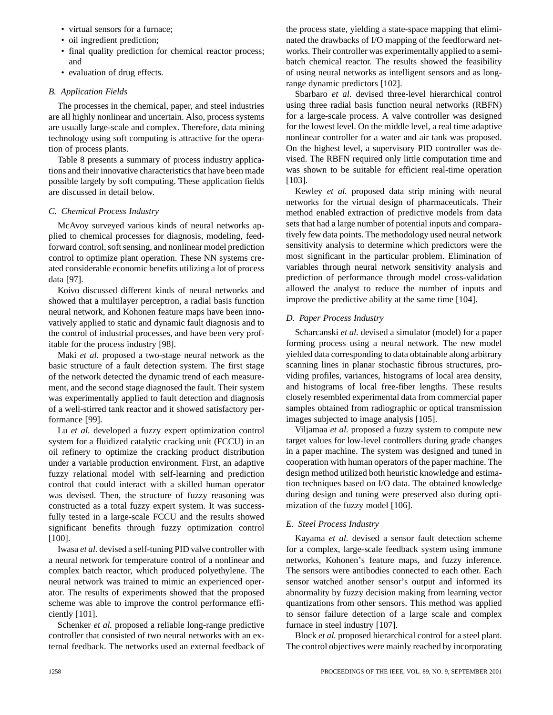- virtual sensors for a furnace;
- oil ingredient prediction;
- final quality prediction for chemical reactor process; and
- evaluation of drug effects.

# *B. Application Fields*

The processes in the chemical, paper, and steel industries are all highly nonlinear and uncertain. Also, process systems are usually large-scale and complex. Therefore, data mining technology using soft computing is attractive for the operation of process plants.

Table 8 presents a summary of process industry applications and their innovative characteristics that have been made possible largely by soft computing. These application fields are discussed in detail below.

# *C. Chemical Process Industry*

McAvoy surveyed various kinds of neural networks applied to chemical processes for diagnosis, modeling, feedforward control, soft sensing, and nonlinear model prediction control to optimize plant operation. These NN systems created considerable economic benefits utilizing a lot of process data [97].

Koivo discussed different kinds of neural networks and showed that a multilayer perceptron, a radial basis function neural network, and Kohonen feature maps have been innovatively applied to static and dynamic fault diagnosis and to the control of industrial processes, and have been very profitable for the process industry [98].

Maki *et al.* proposed a two-stage neural network as the basic structure of a fault detection system. The first stage of the network detected the dynamic trend of each measurement, and the second stage diagnosed the fault. Their system was experimentally applied to fault detection and diagnosis of a well-stirred tank reactor and it showed satisfactory performance [99].

Lu *et al.* developed a fuzzy expert optimization control system for a fluidized catalytic cracking unit (FCCU) in an oil refinery to optimize the cracking product distribution under a variable production environment. First, an adaptive fuzzy relational model with self-learning and prediction control that could interact with a skilled human operator was devised. Then, the structure of fuzzy reasoning was constructed as a total fuzzy expert system. It was successfully tested in a large-scale FCCU and the results showed significant benefits through fuzzy optimization control [100].

Iwasa *et al.* devised a self-tuning PID valve controller with a neural network for temperature control of a nonlinear and complex batch reactor, which produced polyethylene. The neural network was trained to mimic an experienced operator. The results of experiments showed that the proposed scheme was able to improve the control performance efficiently [101].

Schenker *et al.* proposed a reliable long-range predictive controller that consisted of two neural networks with an external feedback. The networks used an external feedback of the process state, yielding a state-space mapping that eliminated the drawbacks of I/O mapping of the feedforward networks. Their controller was experimentally applied to a semibatch chemical reactor. The results showed the feasibility of using neural networks as intelligent sensors and as longrange dynamic predictors [102].

Sbarbaro *et al.* devised three-level hierarchical control using three radial basis function neural networks (RBFN) for a large-scale process. A valve controller was designed for the lowest level. On the middle level, a real time adaptive nonlinear controller for a water and air tank was proposed. On the highest level, a supervisory PID controller was devised. The RBFN required only little computation time and was shown to be suitable for efficient real-time operation [103].

Kewley *et al.* proposed data strip mining with neural networks for the virtual design of pharmaceuticals. Their method enabled extraction of predictive models from data sets that had a large number of potential inputs and comparatively few data points. The methodology used neural network sensitivity analysis to determine which predictors were the most significant in the particular problem. Elimination of variables through neural network sensitivity analysis and prediction of performance through model cross-validation allowed the analyst to reduce the number of inputs and improve the predictive ability at the same time [104].

# *D. Paper Process Industry*

Scharcanski *et al.* devised a simulator (model) for a paper forming process using a neural network. The new model yielded data corresponding to data obtainable along arbitrary scanning lines in planar stochastic fibrous structures, providing profiles, variances, histograms of local area density, and histograms of local free-fiber lengths. These results closely resembled experimental data from commercial paper samples obtained from radiographic or optical transmission images subjected to image analysis [105].

Viljamaa *et al.* proposed a fuzzy system to compute new target values for low-level controllers during grade changes in a paper machine. The system was designed and tuned in cooperation with human operators of the paper machine. The design method utilized both heuristic knowledge and estimation techniques based on I/O data. The obtained knowledge during design and tuning were preserved also during optimization of the fuzzy model [106].

# *E. Steel Process Industry*

Kayama *et al.* devised a sensor fault detection scheme for a complex, large-scale feedback system using immune networks, Kohonen's feature maps, and fuzzy inference. The sensors were antibodies connected to each other. Each sensor watched another sensor's output and informed its abnormality by fuzzy decision making from learning vector quantizations from other sensors. This method was applied to sensor failure detection of a large scale and complex furnace in steel industry [107].

Block *et al.* proposed hierarchical control for a steel plant. The control objectives were mainly reached by incorporating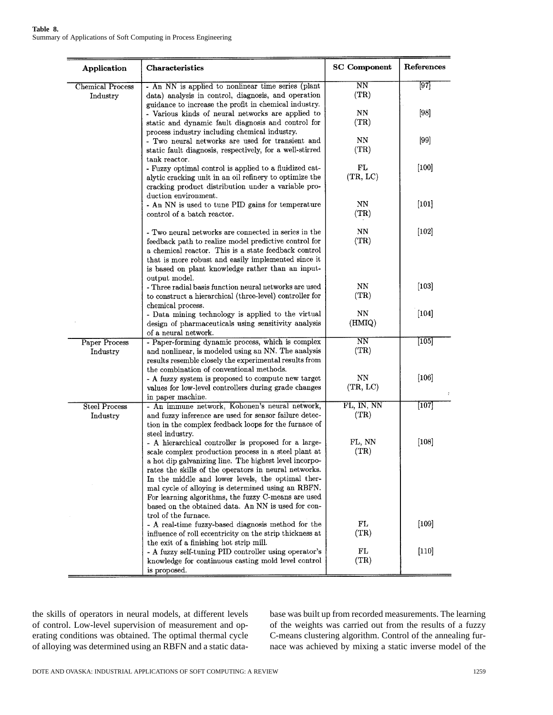| Application                         | <b>Characteristics</b>                                                                                                                                                                                                                                                                                                                                                                                                                                                     | <b>SC</b> Component            | References |
|-------------------------------------|----------------------------------------------------------------------------------------------------------------------------------------------------------------------------------------------------------------------------------------------------------------------------------------------------------------------------------------------------------------------------------------------------------------------------------------------------------------------------|--------------------------------|------------|
| <b>Chemical Process</b><br>Industry | - An NN is applied to nonlinear time series (plant<br>data) analysis in control, diagnosis, and operation                                                                                                                                                                                                                                                                                                                                                                  | $\overline{\text{NN}}$<br>(TR) | [97]       |
|                                     | guidance to increase the profit in chemical industry.<br>- Various kinds of neural networks are applied to<br>static and dynamic fault diagnosis and control for                                                                                                                                                                                                                                                                                                           | NN<br>(TR)                     | [98]       |
|                                     | process industry including chemical industry.<br>- Two neural networks are used for transient and<br>static fault diagnosis, respectively, for a well-stirred                                                                                                                                                                                                                                                                                                              | NN<br>(TR)                     | [99]       |
|                                     | tank reactor.<br>- Fuzzy optimal control is applied to a fluidized cat-<br>alytic cracking unit in an oil refinery to optimize the<br>cracking product distribution under a variable pro-<br>duction environment.                                                                                                                                                                                                                                                          | FL<br>(TR, LC)                 | [100]      |
|                                     | - An NN is used to tune PID gains for temperature<br>control of a batch reactor.                                                                                                                                                                                                                                                                                                                                                                                           | NN<br>(TR)                     | $[101]$    |
|                                     | - Two neural networks are connected in series in the<br>feedback path to realize model predictive control for<br>a chemical reactor. This is a state feedback control<br>that is more robust and easily implemented since it<br>is based on plant knowledge rather than an input-                                                                                                                                                                                          | NN<br>(TR)                     | $[102]$    |
|                                     | output model.<br>- Three radial basis function neural networks are used<br>to construct a hierarchical (three-level) controller for<br>chemical process.                                                                                                                                                                                                                                                                                                                   | NN<br>(TR)                     | $[103]$    |
|                                     | - Data mining technology is applied to the virtual<br>design of pharmaceuticals using sensitivity analysis<br>of a neural network.                                                                                                                                                                                                                                                                                                                                         | NN<br>(HMIQ)                   | $[104]$    |
| Paper Process<br>Industry           | - Paper-forming dynamic process, which is complex<br>and nonlinear, is modeled using an NN. The analysis<br>results resemble closely the experimental results from<br>the combination of conventional methods.                                                                                                                                                                                                                                                             | $\overline{\text{NN}}$<br>(TR) | $[105]$    |
|                                     | - A fuzzy system is proposed to compute new target<br>values for low-level controllers during grade changes<br>in paper machine.                                                                                                                                                                                                                                                                                                                                           | NN<br>(TR, LC)                 | $[106]$    |
| <b>Steel Process</b><br>Industry    | - An immune network, Kohonen's neural network,<br>and fuzzy inference are used for sensor failure detec-<br>tion in the complex feedback loops for the furnace of                                                                                                                                                                                                                                                                                                          | FL, IN, NN<br>(TR)             | $[107]$    |
|                                     | steel industry.<br>- A hierarchical controller is proposed for a large-<br>scale complex production process in a steel plant at<br>a hot dip galvanizing line. The highest level incorpo-<br>rates the skills of the operators in neural networks.<br>In the middle and lower levels, the optimal ther-<br>mal cycle of alloying is determined using an RBFN.<br>For learning algorithms, the fuzzy C-means are used<br>based on the obtained data. An NN is used for con- | FL, NN<br>(TR)                 | $[108]$    |
|                                     | trol of the furnace.<br>- A real-time fuzzy-based diagnosis method for the<br>influence of roll eccentricity on the strip thickness at<br>the exit of a finishing hot strip mill.                                                                                                                                                                                                                                                                                          | FL<br>(TR)                     | $[109]$    |
|                                     | - A fuzzy self-tuning PID controller using operator's<br>knowledge for continuous casting mold level control<br>is proposed.                                                                                                                                                                                                                                                                                                                                               | FL<br>(TR)                     | $[110]$    |

the skills of operators in neural models, at different levels of control. Low-level supervision of measurement and operating conditions was obtained. The optimal thermal cycle of alloying was determined using an RBFN and a static database was built up from recorded measurements. The learning of the weights was carried out from the results of a fuzzy C-means clustering algorithm. Control of the annealing furnace was achieved by mixing a static inverse model of the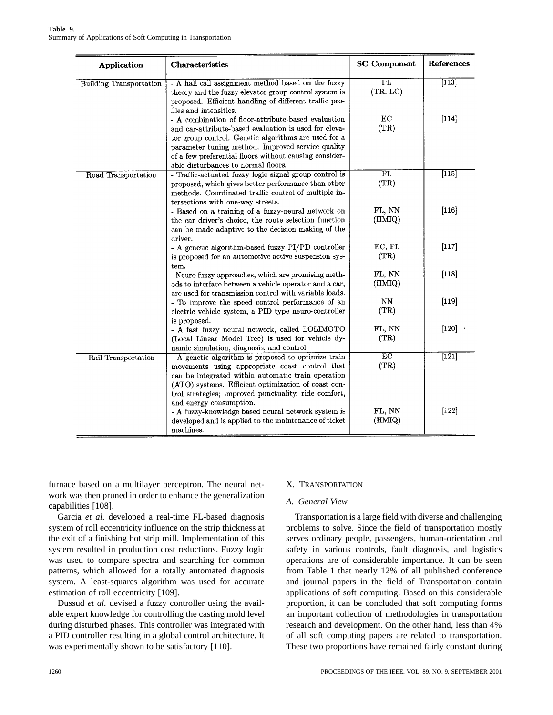| Application                    | <b>Characteristics</b>                                                                                                                                                                                                                                                                                | <b>SC</b> Component                | References       |
|--------------------------------|-------------------------------------------------------------------------------------------------------------------------------------------------------------------------------------------------------------------------------------------------------------------------------------------------------|------------------------------------|------------------|
| <b>Building Transportation</b> | - A hall call assignment method based on the fuzzy<br>theory and the fuzzy elevator group control system is<br>proposed. Efficient handling of different traffic pro-                                                                                                                                 | $\overline{\text{FL}}$<br>(TR, LC) | $\overline{113}$ |
|                                | files and intensities.<br>- A combination of floor-attribute-based evaluation<br>and car-attribute-based evaluation is used for eleva-<br>tor group control. Genetic algorithms are used for a<br>parameter tuning method. Improved service quality                                                   | EC<br>(TR)                         | [114]            |
|                                | of a few preferential floors without causing consider-<br>able disturbances to normal floors.                                                                                                                                                                                                         |                                    |                  |
| Road Transportation            | - Traffic-actuated fuzzy logic signal group control is<br>proposed, which gives better performance than other<br>methods. Coordinated traffic control of multiple in-<br>tersections with one-way streets.                                                                                            | $_{\rm FL}$<br>(TR)                | $[115]$          |
|                                | - Based on a training of a fuzzy-neural network on<br>the car driver's choice, the route selection function<br>can be made adaptive to the decision making of the<br>driver.                                                                                                                          | FL, NN<br>(HMIQ)                   | [116]            |
|                                | - A genetic algorithm-based fuzzy PI/PD controller<br>is proposed for an automotive active suspension sys-<br>tem.                                                                                                                                                                                    | EC, FL<br>(TR)                     | $[117]$          |
|                                | - Neuro fuzzy approaches, which are promising meth-<br>ods to interface between a vehicle operator and a car,<br>are used for transmission control with variable loads.                                                                                                                               | FL, NN<br>(HMIQ)                   | $[118]$          |
|                                | - To improve the speed control performance of an<br>electric vehicle system, a PID type neuro-controller<br>is proposed.                                                                                                                                                                              | <b>NN</b><br>(TR)                  | $[119]$          |
|                                | - A fast fuzzy neural network, called LOLIMOTO<br>(Local Linear Model Tree) is used for vehicle dy-<br>namic simulation, diagnosis, and control.                                                                                                                                                      | FL, NN<br>(TR)                     | $[120]$          |
| Rail Transportation            | - A genetic algorithm is proposed to optimize train<br>movements using appropriate coast control that<br>can be integrated within automatic train operation<br>(ATO) systems. Efficient optimization of coast con-<br>trol strategies; improved punctuality, ride comfort,<br>and energy consumption. | $_{\rm EC}$<br>(TR)                | [121]            |
|                                | - A fuzzy-knowledge based neural network system is<br>developed and is applied to the maintenance of ticket<br>machines.                                                                                                                                                                              | FL, NN<br>(HMIQ)                   | $[122]$          |

furnace based on a multilayer perceptron. The neural network was then pruned in order to enhance the generalization capabilities [108].

Garcia *et al.* developed a real-time FL-based diagnosis system of roll eccentricity influence on the strip thickness at the exit of a finishing hot strip mill. Implementation of this system resulted in production cost reductions. Fuzzy logic was used to compare spectra and searching for common patterns, which allowed for a totally automated diagnosis system. A least-squares algorithm was used for accurate estimation of roll eccentricity [109].

Dussud *et al.* devised a fuzzy controller using the available expert knowledge for controlling the casting mold level during disturbed phases. This controller was integrated with a PID controller resulting in a global control architecture. It was experimentally shown to be satisfactory [110].

# X. TRANSPORTATION

# *A. General View*

Transportation is a large field with diverse and challenging problems to solve. Since the field of transportation mostly serves ordinary people, passengers, human-orientation and safety in various controls, fault diagnosis, and logistics operations are of considerable importance. It can be seen from Table 1 that nearly 12% of all published conference and journal papers in the field of Transportation contain applications of soft computing. Based on this considerable proportion, it can be concluded that soft computing forms an important collection of methodologies in transportation research and development. On the other hand, less than 4% of all soft computing papers are related to transportation. These two proportions have remained fairly constant during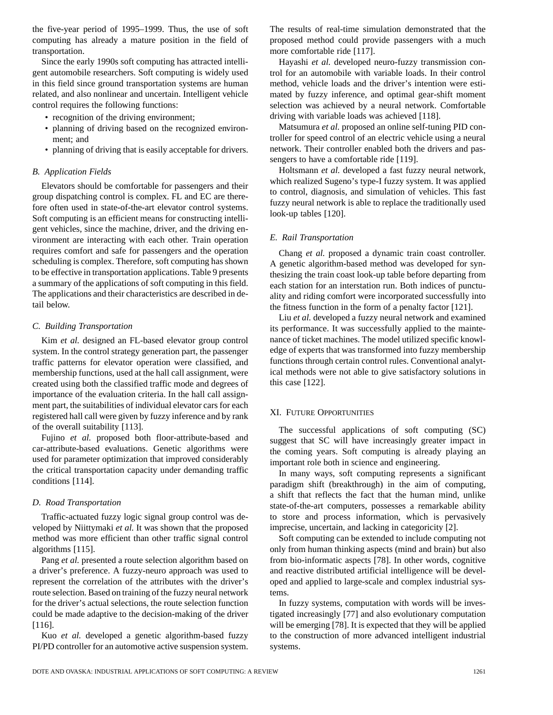the five-year period of 1995–1999. Thus, the use of soft computing has already a mature position in the field of transportation.

Since the early 1990s soft computing has attracted intelligent automobile researchers. Soft computing is widely used in this field since ground transportation systems are human related, and also nonlinear and uncertain. Intelligent vehicle control requires the following functions:

- recognition of the driving environment;
- planning of driving based on the recognized environment; and
- planning of driving that is easily acceptable for drivers.

## *B. Application Fields*

Elevators should be comfortable for passengers and their group dispatching control is complex. FL and EC are therefore often used in state-of-the-art elevator control systems. Soft computing is an efficient means for constructing intelligent vehicles, since the machine, driver, and the driving environment are interacting with each other. Train operation requires comfort and safe for passengers and the operation scheduling is complex. Therefore, soft computing has shown to be effective in transportation applications. Table 9 presents a summary of the applications of soft computing in this field. The applications and their characteristics are described in detail below.

## *C. Building Transportation*

Kim *et al.* designed an FL-based elevator group control system. In the control strategy generation part, the passenger traffic patterns for elevator operation were classified, and membership functions, used at the hall call assignment, were created using both the classified traffic mode and degrees of importance of the evaluation criteria. In the hall call assignment part, the suitabilities of individual elevator cars for each registered hall call were given by fuzzy inference and by rank of the overall suitability [113].

Fujino *et al.* proposed both floor-attribute-based and car-attribute-based evaluations. Genetic algorithms were used for parameter optimization that improved considerably the critical transportation capacity under demanding traffic conditions [114].

#### *D. Road Transportation*

Traffic-actuated fuzzy logic signal group control was developed by Niittymaki *et al.* It was shown that the proposed method was more efficient than other traffic signal control algorithms [115].

Pang *et al.* presented a route selection algorithm based on a driver's preference. A fuzzy-neuro approach was used to represent the correlation of the attributes with the driver's route selection. Based on training of the fuzzy neural network for the driver's actual selections, the route selection function could be made adaptive to the decision-making of the driver [116].

Kuo *et al.* developed a genetic algorithm-based fuzzy PI/PD controller for an automotive active suspension system.

The results of real-time simulation demonstrated that the proposed method could provide passengers with a much more comfortable ride [117].

Hayashi *et al.* developed neuro-fuzzy transmission control for an automobile with variable loads. In their control method, vehicle loads and the driver's intention were estimated by fuzzy inference, and optimal gear-shift moment selection was achieved by a neural network. Comfortable driving with variable loads was achieved [118].

Matsumura *et al.* proposed an online self-tuning PID controller for speed control of an electric vehicle using a neural network. Their controller enabled both the drivers and passengers to have a comfortable ride [119].

Holtsmann *et al.* developed a fast fuzzy neural network, which realized Sugeno's type-I fuzzy system. It was applied to control, diagnosis, and simulation of vehicles. This fast fuzzy neural network is able to replace the traditionally used look-up tables [120].

## *E. Rail Transportation*

Chang *et al.* proposed a dynamic train coast controller. A genetic algorithm-based method was developed for synthesizing the train coast look-up table before departing from each station for an interstation run. Both indices of punctuality and riding comfort were incorporated successfully into the fitness function in the form of a penalty factor [121].

Liu *et al.* developed a fuzzy neural network and examined its performance. It was successfully applied to the maintenance of ticket machines. The model utilized specific knowledge of experts that was transformed into fuzzy membership functions through certain control rules. Conventional analytical methods were not able to give satisfactory solutions in this case [122].

## XI. FUTURE OPPORTUNITIES

The successful applications of soft computing (SC) suggest that SC will have increasingly greater impact in the coming years. Soft computing is already playing an important role both in science and engineering.

In many ways, soft computing represents a significant paradigm shift (breakthrough) in the aim of computing, a shift that reflects the fact that the human mind, unlike state-of-the-art computers, possesses a remarkable ability to store and process information, which is pervasively imprecise, uncertain, and lacking in categoricity [2].

Soft computing can be extended to include computing not only from human thinking aspects (mind and brain) but also from bio-informatic aspects [78]. In other words, cognitive and reactive distributed artificial intelligence will be developed and applied to large-scale and complex industrial systems.

In fuzzy systems, computation with words will be investigated increasingly [77] and also evolutionary computation will be emerging [78]. It is expected that they will be applied to the construction of more advanced intelligent industrial systems.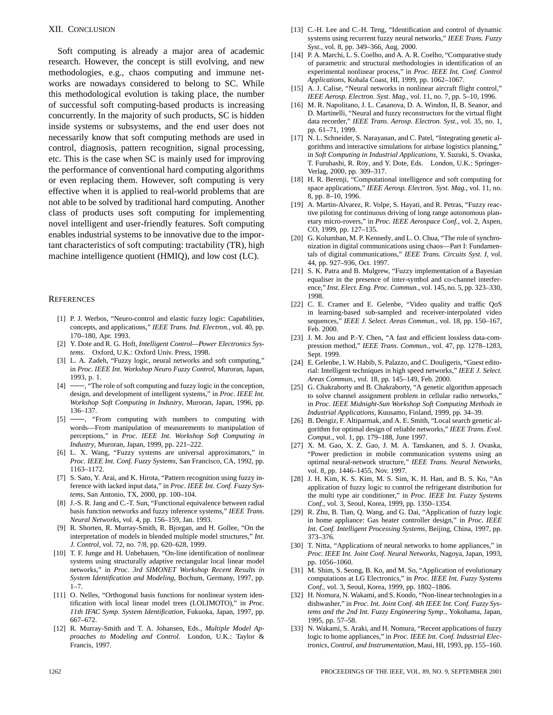Soft computing is already a major area of academic research. However, the concept is still evolving, and new methodologies, e.g., chaos computing and immune networks are nowadays considered to belong to SC. While this methodological evolution is taking place, the number of successful soft computing-based products is increasing concurrently. In the majority of such products, SC is hidden inside systems or subsystems, and the end user does not necessarily know that soft computing methods are used in control, diagnosis, pattern recognition, signal processing, etc. This is the case when SC is mainly used for improving the performance of conventional hard computing algorithms or even replacing them. However, soft computing is very effective when it is applied to real-world problems that are not able to be solved by traditional hard computing. Another class of products uses soft computing for implementing novel intelligent and user-friendly features. Soft computing enables industrial systems to be innovative due to the important characteristics of soft computing: tractability (TR), high machine intelligence quotient (HMIQ), and low cost (LC).

#### **REFERENCES**

- [1] P. J. Werbos, "Neuro-control and elastic fuzzy logic: Capabilities, concepts, and applications," *IEEE Trans. Ind. Electron.*, vol. 40, pp. 170–180, Apr. 1993.
- [2] Y. Dote and R. G. Hoft, *Intelligent Control—Power Electronics Systems*. Oxford, U.K.: Oxford Univ. Press, 1998.
- [3] L. A. Zadeh, "Fuzzy logic, neural networks and soft computing," in *Proc. IEEE Int. Workshop Neuro Fuzzy Control*, Muroran, Japan, 1993, p. 1.
- [4]  $\longrightarrow$ , "The role of soft computing and fuzzy logic in the conception, design, and development of intelligent systems," in *Proc. IEEE Int. Workshop Soft Computing in Industry*, Muroran, Japan, 1996, pp. 136–137.
- [5]  $\rightarrow$  "From computing with numbers to computing with words—From manipulation of measurements to manipulation of perceptions," in *Proc. IEEE Int. Workshop Soft Computing in Industry*, Muroran, Japan, 1999, pp. 221–222.
- [6] L. X. Wang, "Fuzzy systems are universal approximators," in *Proc. IEEE Int. Conf. Fuzzy Systems*, San Francisco, CA, 1992, pp. 1163–1172.
- [7] S. Sato, Y. Arai, and K. Hirota, "Pattern recognition using fuzzy inference with lacked input data," in *Proc. IEEE Int. Conf. Fuzzy Systems*, San Antonio, TX, 2000, pp. 100–104.
- [8] J.-S. R. Jang and C.-T. Sun, "Functional equivalence between radial basis function networks and fuzzy inference systems," *IEEE Trans. Neural Networks*, vol. 4, pp. 156–159, Jan. 1993.
- [9] R. Shorten, R. Murray-Smith, R. Bjorgan, and H. Gollee, "On the interpretation of models in blended multiple model structures," *Int. J. Control*, vol. 72, no. 7/8, pp. 620–628, 1999.
- [10] T. F. Junge and H. Unbehauen, "On-line identification of nonlinear systems using structurally adaptive rectangular local linear model networks," in *Proc. 3rd SIMONET Workshop Recent Results in System Identification and Modeling*, Bochum, Germany, 1997, pp.  $1 - 7$ .
- [11] O. Nelles, "Orthogonal basis functions for nonlinear system identification with local linear model trees (LOLIMOTO)," in *Proc. 11th IFAC Symp. System Identification*, Fukuoka, Japan, 1997, pp. 667–672.
- [12] R. Murray-Smith and T. A. Johansen, Eds., *Multiple Model Approaches to Modeling and Control*. London, U.K.: Taylor & Francis, 1997.
- [13] C.-H. Lee and C.-H. Teng, "Identification and control of dynamic systems using recurrent fuzzy neural networks," *IEEE Trans. Fuzzy Syst.*, vol. 8, pp. 349–366, Aug. 2000.
- [14] P. A. Marchi, L. S. Coelho, and A. A. R. Coelho, "Comparative study of parametric and structural methodologies in identification of an experimental nonlinear process," in *Proc. IEEE Int. Conf. Control Applications*, Kohala Coast, HI, 1999, pp. 1062–1067.
- [15] A. J. Calise, "Neural networks in nonlinear aircraft flight control," *IEEE Aerosp. Electron. Syst. Mag.*, vol. 11, no. 7, pp. 5–10, 1996.
- [16] M. R. Napolitano, J. L. Casanova, D. A. Windon, II, B. Seanor, and D. Martinelli, "Neural and fuzzy reconstructors for the virtual flight data recorder," *IEEE Trans. Aerosp. Electron. Syst.*, vol. 35, no. 1, pp. 61–71, 1999.
- [17] N. L. Schneider, S. Narayanan, and C. Patel, "Integrating genetic algorithms and interactive simulations for airbase logistics planning," in *Soft Computing in Industrial Applications*, Y. Suzuki, S. Ovaska, T. Furuhashi, R. Roy, and Y. Dote, Eds. London, U.K.: Springer-Verlag, 2000, pp. 309–317.
- [18] H. R. Berenji, "Computational intelligence and soft computing for space applications," *IEEE Aerosp. Electron. Syst. Mag.*, vol. 11, no. 8, pp. 8–10, 1996.
- [19] A. Martin-Alvarez, R. Volpe, S. Hayati, and R. Petras, "Fuzzy reactive piloting for continuous driving of long range autonomous planetary micro-rovers," in *Proc. IEEE Aerospace Conf.*, vol. 2, Aspen, CO, 1999, pp. 127–135.
- [20] G. Kolumban, M. P. Kennedy, and L. O. Chua, "The role of synchronization in digital communications using chaos—Part I: Fundamentals of digital communications," *IEEE Trans. Circuits Syst. I*, vol. 44, pp. 927–936, Oct. 1997.
- [21] S. K. Patra and B. Mulgrew, "Fuzzy implementation of a Bayesian equaliser in the presence of inter-symbol and co-channel interference," *Inst. Elect. Eng. Proc. Commun.*, vol. 145, no. 5, pp. 323–330, 1998.
- [22] C. E. Cramer and E. Gelenbe, "Video quality and traffic QoS in learning-based sub-sampled and receiver-interpolated video sequences," *IEEE J. Select. Areas Commun.*, vol. 18, pp. 150–167, Feb. 2000.
- [23] J. M. Jou and P.-Y. Chen, "A fast and efficient lossless data-compression method," *IEEE Trans. Commun.*, vol. 47, pp. 1278–1283, Sept. 1999.
- [24] E. Gelenbe, I. W. Habib, S. Palazzo, and C. Douligeris, "Guest editorial: Intelligent techniques in high speed networks," *IEEE J. Select. Areas Commun.*, vol. 18, pp. 145–149, Feb. 2000.
- [25] G. Chakraborty and B. Chakraborty, "A genetic algorithm approach to solve channel assignment problem in cellular radio networks,' in *Proc. IEEE Midnight-Sun Workshop Soft Computing Methods in Industrial Applications*, Kuusamo, Finland, 1999, pp. 34–39.
- [26] B. Dengiz, F. Altiparmak, and A. E. Smith, "Local search genetic algorithm for optimal design of reliable networks," *IEEE Trans. Evol. Comput.*, vol. 1, pp. 179–188, June 1997.
- [27] X. M. Gao, X. Z. Gao, J. M. A. Tanskanen, and S. J. Ovaska, "Power prediction in mobile communication systems using an optimal neural-network structure," *IEEE Trans. Neural Networks*, vol. 8, pp. 1446–1455, Nov. 1997.
- [28] J. H. Kim, K. S. Kim, M. S. Sim, K. H. Han, and B. S. Ko, "An application of fuzzy logic to control the refrigerant distribution for the multi type air conditioner," in *Proc. IEEE Int. Fuzzy Systems Conf.*, vol. 3, Seoul, Korea, 1999, pp. 1350–1354.
- [29] R. Zhu, B. Tian, Q. Wang, and G. Dai, "Application of fuzzy logic in home appliance: Gas heater controller design," in *Proc. IEEE Int. Conf. Intelligent Processing Systems*, Beijing, China, 1997, pp. 373–376.
- [30] T. Nitta, "Applications of neural networks to home appliances," in *Proc. IEEE Int. Joint Conf. Neural Networks*, Nagoya, Japan, 1993, pp. 1056–1060.
- [31] M. Shim, S. Seong, B. Ko, and M. So, "Application of evolutionary computations at LG Electronics," in *Proc. IEEE Int. Fuzzy Systems Conf.*, vol. 3, Seoul, Korea, 1999, pp. 1802–1806.
- [32] H. Nomura, N. Wakami, and S. Kondo, "Non-linear technologies in a dishwasher," in *Proc. Int. Joint Conf. 4th IEEE Int. Conf. Fuzzy Systems and the 2nd Int. Fuzzy Engineering Symp.*, Yokohama, Japan, 1995, pp. 57–58.
- [33] N. Wakami, S. Araki, and H. Nomura, "Recent applications of fuzzy logic to home appliances," in *Proc. IEEE Int. Conf. Industrial Electronics, Control, and Instrumentation*, Maui, HI, 1993, pp. 155–160.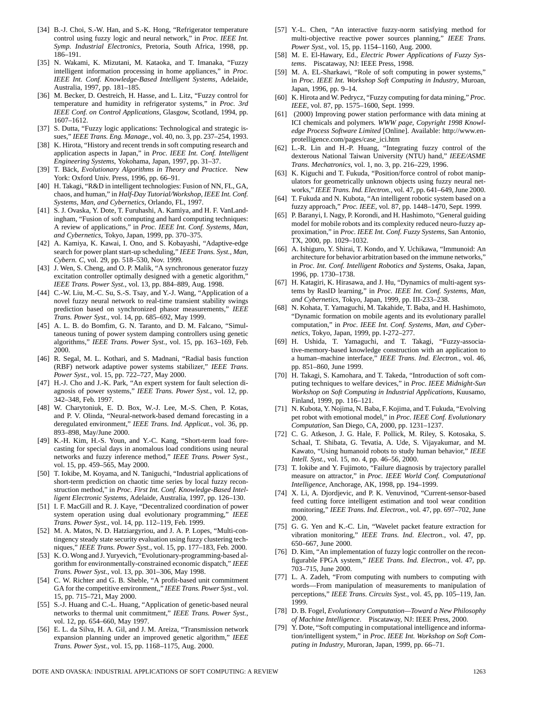- [34] B.-J. Choi, S.-W. Han, and S.-K. Hong, "Refrigerator temperature control using fuzzy logic and neural network," in *Proc. IEEE Int. Symp. Industrial Electronics*, Pretoria, South Africa, 1998, pp. 186–191.
- [35] N. Wakami, K. Mizutani, M. Kataoka, and T. Imanaka, "Fuzzy intelligent information processing in home appliances," in *Proc. IEEE Int. Conf. Knowledge-Based Intelligent Systems*, Adelaide, Australia, 1997, pp. 181–185.
- [36] M. Becker, D. Oestreich, H. Hasse, and L. Litz, "Fuzzy control for temperature and humidity in refrigerator systems," in *Proc. 3rd IEEE Conf. on Control Applications*, Glasgow, Scotland, 1994, pp. 1607–1612.
- [37] S. Dutta, "Fuzzy logic applications: Technological and strategic issues," *IEEE Trans. Eng. Manage.*, vol. 40, no. 3, pp. 237–254, 1993.
- [38] K. Hirota, "History and recent trends in soft computing research and application aspects in Japan," in *Proc. IEEE Int. Conf. Intelligent Engineering Systems*, Yokohama, Japan, 1997, pp. 31–37.
- [39] T. Bäck, *Evolutionary Algorithms in Theory and Practice*. New York: Oxford Univ. Press, 1996, pp. 66–91.
- [40] H. Takagi, "R&D in intelligent technologies: Fusion of NN, FL, GA, chaos, and human," in *Half-Day Tutorial/Workshop, IEEE Int. Conf. Systems, Man, and Cybernetics*, Orlando, FL, 1997.
- [41] S. J. Ovaska, Y. Dote, T. Furuhashi, A. Kamiya, and H. F. VanLandingham, "Fusion of soft computing and hard computing techniques: A review of applications," in *Proc. IEEE Int. Conf. Systems, Man, and Cybernetics*, Tokyo, Japan, 1999, pp. 370–375.
- [42] A. Kamiya, K. Kawai, I. Ono, and S. Kobayashi, "Adaptive-edge search for power plant start-up scheduling," *IEEE Trans. Syst., Man, Cybern. C*, vol. 29, pp. 518–530, Nov. 1999.
- [43] J. Wen, S. Cheng, and O. P. Malik, "A synchronous generator fuzzy excitation controller optimally designed with a genetic algorithm," *IEEE Trans. Power Syst.*, vol. 13, pp. 884–889, Aug. 1998.
- [44] C.-W. Liu, M.-C. Su, S.-S. Tsay, and Y.-J. Wang, "Application of a novel fuzzy neural network to real-time transient stability swings prediction based on synchronized phasor measurements," *IEEE Trans. Power Syst.*, vol. 14, pp. 685–692, May 1999.
- [45] A. L. B. do Bomfim, G. N. Taranto, and D. M. Falcano, "Simultaneous tuning of power system damping controllers using genetic algorithms," *IEEE Trans. Power Syst.*, vol. 15, pp. 163–169, Feb. 2000.
- [46] R. Segal, M. L. Kothari, and S. Madnani, "Radial basis function (RBF) network adaptive power systems stabilizer," *IEEE Trans. Power Syst.*, vol. 15, pp. 722–727, May 2000.
- [47] H.-J. Cho and J.-K. Park, "An expert system for fault selection diagnosis of power systems," *IEEE Trans. Power Syst.*, vol. 12, pp. 342–348, Feb. 1997.
- [48] W. Charytoniuk, E. D. Box, W.-J. Lee, M.-S. Chen, P. Kotas, and P. V. Olinda, "Neural-network-based demand forecasting in a deregulated environment," *IEEE Trans. Ind. Applicat.*, vol. 36, pp. 893–898, May/June 2000.
- [49] K.-H. Kim, H.-S. Youn, and Y.-C. Kang, "Short-term load forecasting for special days in anomalous load conditions using neural networks and fuzzy inference method," *IEEE Trans. Power Syst.*, vol. 15, pp. 459–565, May 2000.
- [50] T. Iokibe, M. Koyama, and N. Taniguchi, "Industrial applications of short-term prediction on chaotic time series by local fuzzy reconstruction method," in *Proc. First Int. Conf. Knowledge-Based Intelligent Electronic Systems*, Adelaide, Australia, 1997, pp. 126–130.
- [51] I. F. MacGill and R. J. Kaye, "Decentralized coordination of power system operation using dual evolutionary programming," *IEEE Trans. Power Syst.*, vol. 14, pp. 112–119, Feb. 1999.
- [52] M. A. Matos, N. D. Hatziargyriou, and J. A. P. Lopes, "Multi-contingency steady state security evaluation using fuzzy clustering techniques," *IEEE Trans. Power Syst.*, vol. 15, pp. 177–183, Feb. 2000.
- [53] K.O. Wong and J. Yuryevich, "Evolutionary-programming-based algorithm for environmentally-constrained economic dispatch," *IEEE Trans. Power Syst.*, vol. 13, pp. 301–306, May 1998.
- [54] C. W. Richter and G. B. Sheble, "A profit-based unit commitment GA for the competitive environment,," *IEEE Trans. Power Syst.*, vol. 15, pp. 715–721, May 2000.
- [55] S.-J. Huang and C.-L. Huang, "Application of genetic-based neural networks to thermal unit commitment," *IEEE Trans. Power Syst.*, vol. 12, pp. 654–660, May 1997.
- [56] E. L. da Silva, H. A. Gil, and J. M. Areiza, "Transmission network expansion planning under an improved genetic algorithm," *IEEE Trans. Power Syst.*, vol. 15, pp. 1168–1175, Aug. 2000.
- [57] Y.-L. Chen, "An interactive fuzzy-norm satisfying method for multi-objective reactive power sources planning," *IEEE Trans. Power Syst.*, vol. 15, pp. 1154–1160, Aug. 2000.
- [58] M. E. El-Hawary, Ed., *Electric Power Applications of Fuzzy Systems*. Piscataway, NJ: IEEE Press, 1998.
- [59] M. A. EL-Sharkawi, "Role of soft computing in power systems," in *Proc. IEEE Int. Workshop Soft Computing in Industry*, Muroan, Japan, 1996, pp. 9–14.
- [60] K. Hirota and W. Pedrycz, "Fuzzy computing for data mining," *Proc. IEEE*, vol. 87, pp. 1575–1600, Sept. 1999.
- [61] (2000) Improving power station performance with data mining at ICI chemicals and polymers*. WWW page, Copyright 1998 Knowledge Process Software Limited* [Online]. Available: http://www.enprotelligence.com/pages/case\_ici.htm
- [62] L.-R. Lin and H.-P. Huang, "Integrating fuzzy control of the dexterous National Taiwan University (NTU) hand," *IEEE/ASME Trans. Mechatronics*, vol. 1, no. 3, pp. 216–229, 1996.
- [63] K. Kiguchi and T. Fukuda, "Position/force control of robot manipulators for geometrically unknown objects using fuzzy neural networks," *IEEE Trans. Ind. Electron.*, vol. 47, pp. 641–649, June 2000.
- [64] T. Fukuda and N. Kubota, "An intelligent robotic system based on a fuzzy approach," *Proc. IEEE*, vol. 87, pp. 1448–1470, Sept. 1999.
- [65] P. Baranyi, I. Nagy, P. Korondi, and H. Hashimoto, "General guiding model for mobile robots and its complexity reduced neuro-fuzzy approximation," in *Proc. IEEE Int. Conf. Fuzzy Systems*, San Antonio, TX, 2000, pp. 1029–1032.
- [66] A. Ishiguro, Y. Shirai, T. Kondo, and Y. Uchikawa, "Immunoid: An architecture for behavior arbitration based on the immune networks," in *Proc. Int. Conf. Intelligent Robotics and Systems*, Osaka, Japan, 1996, pp. 1730–1738.
- [67] H. Katagiri, K. Hirasawa, and J. Hu, "Dynamics of multi-agent systems by RasID learning," in *Proc. IEEE Int. Conf. Systems, Man, and Cybernetics*, Tokyo, Japan, 1999, pp. III-233–238.
- [68] N. Kohata, T. Yamaguchi, M. Takahide, T. Baba, and H. Hashimoto, "Dynamic formation on mobile agents and its evolutionary parallel computation," in *Proc. IEEE Int. Conf. Systems, Man, and Cybernetics*, Tokyo, Japan, 1999, pp. I-272–277.
- [69] H. Ushida, T. Yamaguchi, and T. Takagi, "Fuzzy-associative-memory-based knowledge construction with an application to a human–machine interface," *IEEE Trans. Ind. Electron.*, vol. 46, pp. 851–860, June 1999.
- [70] H. Takagi, S. Kamohara, and T. Takeda, "Introduction of soft computing techniques to welfare devices," in *Proc. IEEE Midnight-Sun Workshop on Soft Computing in Industrial Applications*, Kuusamo, Finland, 1999, pp. 116–121.
- [71] N. Kubota, Y. Nojima, N. Baba, F. Kojima, and T. Fukuda, "Evolving pet robot with emotional model," in *Proc. IEEE Conf. Evolutionary Computation*, San Diego, CA, 2000, pp. 1231–1237.
- [72] C. G. Atkeson, J. G. Hale, F. Pollick, M. Riley, S. Kotosaka, S. Schaal, T. Shibata, G. Tevatia, A. Ude, S. Vijayakumar, and M. Kawato, "Using humanoid robots to study human behavior," *IEEE Intell. Syst.*, vol. 15, no. 4, pp. 46–56, 2000.
- [73] T. Iokibe and Y. Fujimoto, "Failure diagnosis by trajectory parallel measure on attractor," in *Proc. IEEE World Conf. Computational Intelligence*, Anchorage, AK, 1998, pp. 194–1999.
- [74] X. Li, A. Djordjevic, and P. K. Venuvinod, "Current-sensor-based feed cutting force intelligent estimation and tool wear condition monitoring," *IEEE Trans. Ind. Electron.*, vol. 47, pp. 697–702, June 2000.
- [75] G. G. Yen and K.-C. Lin, "Wavelet packet feature extraction for vibration monitoring," *IEEE Trans. Ind. Electron.*, vol. 47, pp. 650–667, June 2000.
- [76] D. Kim, "An implementation of fuzzy logic controller on the reconfigurable FPGA system," *IEEE Trans. Ind. Electron.*, vol. 47, pp. 703–715, June 2000.
- [77] L. A. Zadeh, "From computing with numbers to computing with words—From manipulation of measurements to manipulation of perceptions," *IEEE Trans. Circuits Syst.*, vol. 45, pp. 105–119, Jan. 1999.
- [78] D. B. Fogel, *Evolutionary Computation—Toward a New Philosophy of Machine Intelligence*. Piscataway, NJ: IEEE Press, 2000.
- [79] Y. Dote, "Soft computing in computational intelligence and information/intelligent system," in *Proc. IEEE Int. Workshop on Soft Computing in Industry*, Muroran, Japan, 1999, pp. 66–71.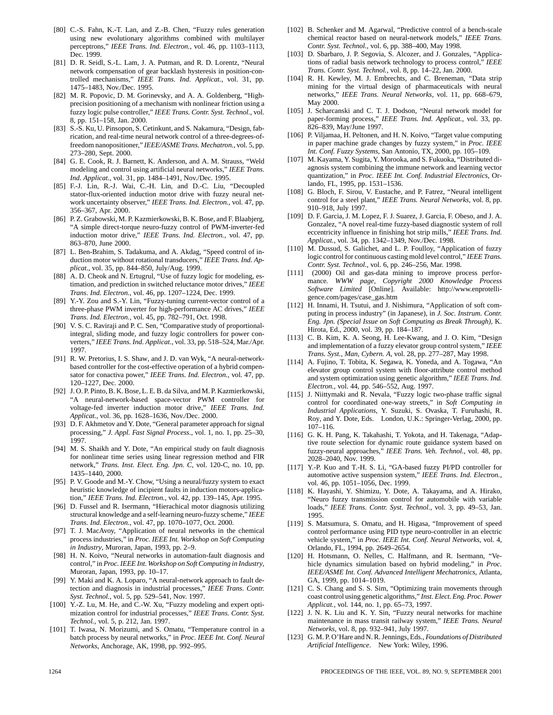- [80] C.-S. Fahn, K.-T. Lan, and Z.-B. Chen, "Fuzzy rules generation using new evolutionary algorithms combined with multilayer perceptrons," *IEEE Trans. Ind. Electron.*, vol. 46, pp. 1103–1113, Dec. 1999.
- [81] D. R. Seidl, S.-L. Lam, J. A. Putman, and R. D. Lorentz, "Neural network compensation of gear backlash hysteresis in position-controlled mechanisms," *IEEE Trans. Ind. Applicat.*, vol. 31, pp. 1475–1483, Nov./Dec. 1995.
- [82] M. R. Popovic, D. M. Gorinevsky, and A. A. Goldenberg, "Highprecision positioning of a mechanism with nonlinear friction using a fuzzy logic pulse controller," *IEEE Trans. Contr. Syst. Technol.*, vol. 8, pp. 151–158, Jan. 2000.
- [83] S.-S. Ku, U. Pinsopon, S. Cetinkunt, and S. Nakamura, "Design, fabrication, and real-time neural network control of a three-degrees-offreedom nanopositioner," *IEEE/ASME Trans. Mechatron.*, vol. 5, pp. 273–280, Sept. 2000.
- [84] G. E. Cook, R. J. Barnett, K. Anderson, and A. M. Strauss, "Weld modeling and control using artificial neural networks," *IEEE Trans. Ind. Applicat.*, vol. 31, pp. 1484–1491, Nov./Dec. 1995.
- [85] F.-J. Lin, R.-J. Wai, C.-H. Lin, and D.-C. Liu, "Decoupled stator-flux-oriented induction motor drive with fuzzy neural network uncertainty observer," *IEEE Trans. Ind. Electron.*, vol. 47, pp. 356–367, Apr. 2000.
- [86] P. Z. Grabowski, M. P. Kazmierkowski, B. K. Bose, and F. Blaabjerg, "A simple direct-torque neuro-fuzzy control of PWM-inverter-fed induction motor drive," *IEEE Trans. Ind. Electron.*, vol. 47, pp. 863–870, June 2000.
- [87] L. Ben-Brahim, S. Tadakuma, and A. Akdag, "Speed control of induction motor without rotational transducers," *IEEE Trans. Ind. Applicat.*, vol. 35, pp. 844–850, July/Aug. 1999.
- [88] A. D. Cheok and N. Ertugrul, "Use of fuzzy logic for modeling, estimation, and prediction in switched reluctance motor drives," *IEEE Trans. Ind. Electron.*, vol. 46, pp. 1207–1224, Dec. 1999.
- [89] Y.-Y. Zou and S.-Y. Lin, "Fuzzy-tuning current-vector control of a three-phase PWM inverter for high-performance AC drives," *IEEE Trans. Ind. Electron.*, vol. 45, pp. 782–791, Oct. 1998.
- [90] V. S. C. Raviraji and P. C. Sen, "Comparative study of proportionalintegral, sliding mode, and fuzzy logic controllers for power converters," *IEEE Trans. Ind. Applicat.*, vol. 33, pp. 518–524, Mar./Apr. 1997.
- [91] R. W. Pretorius, I. S. Shaw, and J. D. van Wyk, "A neural-networkbased controller for the cost-effective operation of a hybrid compensator for conactiva power," *IEEE Trans. Ind. Electron.*, vol. 47, pp. 120–1227, Dec. 2000.
- [92] J. O. P. Pinto, B. K. Bose, L. E. B. da Silva, and M. P. Kazmierkowski, "A neural-network-based space-vector PWM controller for voltage-fed inverter induction motor drive," *IEEE Trans. Ind. Applicat.*, vol. 36, pp. 1628–1636, Nov./Dec. 2000.
- [93] D. F. Akhmetov and Y. Dote, "General parameter approach for signal processing," *J. Appl. Fast Signal Process.*, vol. 1, no. 1, pp. 25–30, 1997.
- [94] M. S. Shaikh and Y. Dote, "An empirical study on fault diagnosis for nonlinear time series using linear regression method and FIR network," *Trans. Inst. Elect. Eng. Jpn. C*, vol. 120-C, no. 10, pp. 1435–1440, 2000.
- [95] P. V. Goode and M.-Y. Chow, "Using a neural/fuzzy system to exact heuristic knowledge of incipient faults in induction motors-application," *IEEE Trans. Ind. Electron.*, vol. 42, pp. 139–145, Apr. 1995.
- [96] D. Fussel and R. Isermann, "Hierachical motor diagnosis utilizing structural knowledge and a self-learning neuro-fuzzy scheme," *IEEE Trans. Ind. Electron.*, vol. 47, pp. 1070–1077, Oct. 2000.
- [97] T. J. MacAvoy, "Application of neural networks in the chemical process industries," in *Proc. IEEE Int. Workshop on Soft Computing in Industry*, Muroran, Japan, 1993, pp. 2–9.
- [98] H. N. Koivo, "Neural networks in automation-fault diagnosis and control," in *Proc. IEEE Int. Workshop on Soft Computing in Industry*, Muroran, Japan, 1993, pp. 10–17.
- [99] Y. Maki and K. A. Loparo, "A neural-network approach to fault detection and diagnosis in industrial processes," *IEEE Trans. Contr. Syst. Technol.*, vol. 5, pp. 529–541, Nov. 1997.
- [100] Y.-Z. Lu, M. He, and C.-W. Xu, "Fuzzy modeling and expert optimization control for industrial processes," *IEEE Trans. Contr. Syst. Technol.*, vol. 5, p. 212, Jan. 1997.
- [101] T. Iwasa, N. Morizumi, and S. Omatu, "Temperature control in a batch process by neural networks," in *Proc. IEEE Int. Conf. Neural Networks*, Anchorage, AK, 1998, pp. 992–995.
- [102] B. Schenker and M. Agarwal, "Predictive control of a bench-scale chemical reactor based on neural-network models," *IEEE Trans. Contr. Syst. Technol.*, vol. 6, pp. 388–400, May 1998.
- [103] D. Sbarbaro, J. P. Segovia, S. Alcozer, and J. Gonzales, "Applications of radial basis network technology to process control," *IEEE Trans. Contr. Syst. Technol.*, vol. 8, pp. 14–22, Jan. 2000.
- [104] R. H. Kewley, M. J. Embrechts, and C. Breneman, "Data strip mining for the virtual design of pharmaceuticals with neural networks," *IEEE Trans. Neural Networks*, vol. 11, pp. 668–679, May 2000.
- [105] J. Scharcanski and C. T. J. Dodson, "Neural network model for paper-forming process," *IEEE Trans. Ind. Applicat.*, vol. 33, pp. 826–839, May/June 1997.
- [106] P. Viljamaa, H. Peltonen, and H. N. Koivo, "Target value computing in paper machine grade changes by fuzzy system," in *Proc. IEEE Int. Conf. Fuzzy Systems*, San Antonio, TX, 2000, pp. 105–109.
- [107] M. Kayama, Y. Sugita, Y. Morooka, and S. Fukuoka, "Distributed diagnosis system combining the immune network and learning vector quantization," in *Proc. IEEE Int. Conf. Industrial Electronics*, Orlando, FL, 1995, pp. 1531–1536.
- [108] G. Bloch, F. Sirou, V. Eustache, and P. Fatrez, "Neural intelligent control for a steel plant," *IEEE Trans. Neural Networks*, vol. 8, pp. 910–918, July 1997.
- [109] D. F. Garcia, J. M. Lopez, F. J. Suarez, J. Garcia, F. Obeso, and J. A. Gonzalez, "A novel real-time fuzzy-based diagnostic system of roll eccentricity influence in finishing hot strip mills," *IEEE Trans. Ind. Applicat.*, vol. 34, pp. 1342–1349, Nov./Dec. 1998.
- [110] M. Dussud, S. Galichet, and L. P. Foulloy, "Application of fuzzy logic control for continuous casting mold level control," *IEEE Trans. Contr. Syst. Technol.*, vol. 6, pp. 246–256, Mar. 1998.
- [111] (2000) Oil and gas-data mining to improve process performance*. WWW page, Copyright 2000 Knowledge Process Software Limited* [Online]. Available: http://www.enprotelligence.com/pages/case\_gas.htm
- [112] H. Innami, H. Tsutui, and J. Nishimura, "Application of soft computing in process industry" (in Japanese), in *J. Soc. Instrum. Contr. Eng. Jpn. (Special Issue on Soft Computing as Break Through)*, K. Hirota, Ed., 2000, vol. 39, pp. 184–187.
- [113] C. B. Kim, K. A. Seong, H. Lee-Kwang, and J. O. Kim, "Design and implementation of a fuzzy elevator group control system," *IEEE Trans. Syst., Man, Cybern. A*, vol. 28, pp. 277–287, May 1998.
- [114] A. Fujino, T. Tobita, K. Segawa, K. Yoneda, and A. Togawa, "An elevator group control system with floor-attribute control method and system optimization using genetic algorithm," *IEEE Trans. Ind. Electron.*, vol. 44, pp. 546–552, Aug. 1997.
- [115] J. Niittymaki and R. Nevala, "Fuzzy logic two-phase traffic signal control for coordinated one-way streets," in *Soft Computing in Industrial Applications*, Y. Suzuki, S. Ovaska, T. Furuhashi, R. Roy, and Y. Dote, Eds. London, U.K.: Springer-Verlag, 2000, pp. 107–116.
- [116] G. K. H. Pang, K. Takahashi, T. Yokota, and H. Takenaga, "Adaptive route selection for dynamic route guidance system based on fuzzy-neural approaches," *IEEE Trans. Veh. Technol.*, vol. 48, pp. 2028–2040, Nov. 1999.
- [117] Y.-P. Kuo and T.-H. S. Li, "GA-based fuzzy PI/PD controller for automotive active suspension system," *IEEE Trans. Ind. Electron.*, vol. 46, pp. 1051–1056, Dec. 1999.
- [118] K. Hayashi, Y. Shimizu, Y. Dote, A. Takayama, and A. Hirako, "Neuro fuzzy transmission control for automobile with variable loads," *IEEE Trans. Contr. Syst. Technol.*, vol. 3, pp. 49–53, Jan. 1995.
- [119] S. Matsumura, S. Omatu, and H. Higasa, "Improvement of speed control performance using PID type neuro-controller in an electric vehicle system," in *Proc. IEEE Int. Conf. Neural Networks*, vol. 4, Orlando, FL, 1994, pp. 2649–2654.
- [120] H. Hotsmann, O. Nelles, C. Halfmann, and R. Isermann, "Vehicle dynamics simulation based on hybrid modeling," in *Proc. IEEE/ASME Int. Conf. Advanced Intelligent Mechatronics*, Atlanta, GA, 1999, pp. 1014–1019.
- [121] C. S. Chang and S. S. Sim, "Optimizing train movements through coast control using genetic algorithms," *Inst. Elect. Eng. Proc. Power Applicat.*, vol. 144, no. 1, pp. 65–73, 1997.
- [122] J. N. K. Liu and K. Y. Sin, "Fuzzy neural networks for machine maintenance in mass transit railway system," *IEEE Trans. Neural Networks*, vol. 8, pp. 932–941, July 1997.
- [123] G. M. P. O'Hare and N. R. Jennings, Eds., *Foundations of Distributed Artificial Intelligence*. New York: Wiley, 1996.